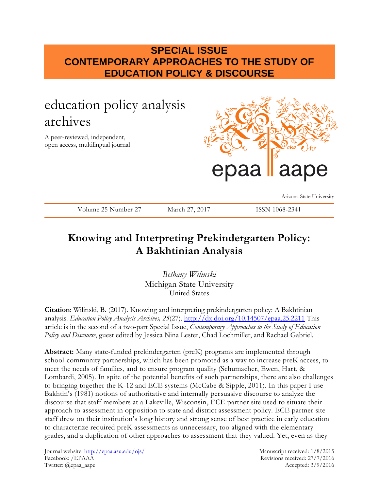## **SPECIAL ISSUE CONTEMPORARY APPROACHES TO THE STUDY OF EDUCATION POLICY & DISCOURSE**

# education policy analysis archives

A peer-reviewed, independent, open access, multilingual journal



Arizona State University

Volume 25 Number 27 March 27, 2017 ISSN 1068-2341

## **Knowing and Interpreting Prekindergarten Policy: A Bakhtinian Analysis**

*Bethany Wilinski* Michigan State University United States

**Citation**: Wilinski, B. (2017). Knowing and interpreting prekindergarten policy: A Bakhtinian analysis. *Education Policy Analysis Archives, 25*(27). <http://dx.doi.org/10.14507/epaa.25.2211> This article is in the second of a two-part Special Issue, *Contemporary Approaches to the Study of Education Policy and Discourse*, guest edited by Jessica Nina Lester, Chad Lochmiller, and Rachael Gabriel.

**Abstract:** Many state-funded prekindergarten (preK) programs are implemented through school-community partnerships, which has been promoted as a way to increase preK access, to meet the needs of families, and to ensure program quality (Schumacher, Ewen, Hart, & Lombardi, 2005). In spite of the potential benefits of such partnerships, there are also challenges to bringing together the K-12 and ECE systems (McCabe & Sipple, 2011). In this paper I use Bakhtin's (1981) notions of authoritative and internally persuasive discourse to analyze the discourse that staff members at a Lakeville, Wisconsin, ECE partner site used to situate their approach to assessment in opposition to state and district assessment policy. ECE partner site staff drew on their institution's long history and strong sense of best practice in early education to characterize required preK assessments as unnecessary, too aligned with the elementary grades, and a duplication of other approaches to assessment that they valued. Yet, even as they

Journal website:<http://epaa.asu.edu/ojs/> Manuscript received: 1/8/2015 Facebook: /EPAAA Revisions received: 27/7/2016 Twitter: @epaa\_aape Accepted: 3/9/2016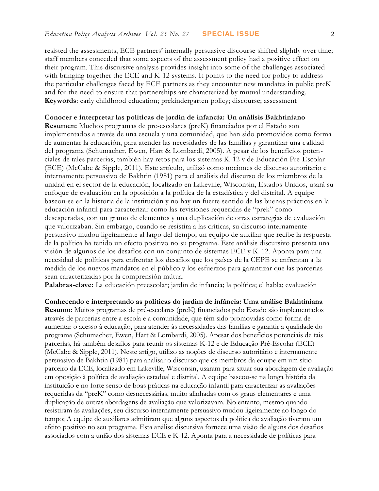resisted the assessments, ECE partners' internally persuasive discourse shifted slightly over time; staff members conceded that some aspects of the assessment policy had a positive effect on their program. This discursive analysis provides insight into some of the challenges associated with bringing together the ECE and K-12 systems. It points to the need for policy to address the particular challenges faced by ECE partners as they encounter new mandates in public preK and for the need to ensure that partnerships are characterized by mutual understanding. **Keywords**: early childhood education; prekindergarten policy; discourse; assessment

## **Conocer e interpretar las políticas de jardín de infancia: Un análisis Bakhtiniano**

**Resumen:** Muchos programas de pre-escolares (preK) financiados por el Estado son implementados a través de una escuela y una comunidad, que han sido promovidos como forma de aumentar la educación, para atender las necesidades de las familias y garantizar una c alidad del programa (Schumacher, Ewen, Hart & Lombardi, 2005). A pesar de los beneficios potenciales de tales parcerias, también hay retos para los sistemas K-12 y de Educación Pre-Escolar (ECE) (McCabe & Sipple, 2011). Este artículo, utilizó como nociones de discurso autoritario e internamente persuasivo de Bakhtin (1981) para el análisis del discurso de los miembros de la unidad en el sector de la educación, localizado en Lakeville, Wisconsin, Estados Unidos, usará su enfoque de evaluación en la oposición a la política de la estadística y del distrital. A equipe baseou-se en la historia de la institución y no hay un fuerte sentido de las buenas prácticas en la educación infantil para caracterizar como las revisiones requeridas de "prek" como desesperadas, con un gramo de elementos y una duplicación de otras estrategias de evaluación que valorizaban. Sin embargo, cuando se resistira a las críticas, su discurso internamente persuasivo mudou ligeiramente al largo del tiempo; un equipo de auxiliar que recibe la respuesta de la política ha tenido un efecto positivo no su programa. Este análisis discursivo presenta una visión de algunos de los desafíos con un conjunto de sistemas ECE y K-12. Aponta para una necesidad de políticas para enfrentar los desafíos que los países de la CEPE se enfrentan a la medida de los nuevos mandatos en el público y los esfuerzos para garantizar que las parcerias sean caracterizadas por la comprensión mútua.

**Palabras-clave:** La educación preescolar; jardín de infancia; la política; el habla; evaluación

**Conhecendo e interpretando as políticas do jardim de infância: Uma análise Bakhtiniana Resumo:** Muitos programas de pré-escolares (preK) financiados pelo Estado são implementados através de parcerias entre a escola e a comunidade, que têm sido promovidas como forma de aumentar o acesso à educação, para atender às necessidades das famílias e garantir a qualidade do programa (Schumacher, Ewen, Hart & Lombardi, 2005). Apesar dos benefícios potenciais de tais parcerias, há também desafios para reunir os sistemas K-12 e de Educação Pré-Escolar (ECE) (McCabe & Sipple, 2011). Neste artigo, utilizo as noções de discurso autoritário e internamente persuasivo de Bakhtin (1981) para analisar o discurso que os membros da equipe em um sítio parceiro da ECE, localizado em Lakeville, Wisconsin, usaram para situar sua abordagem de avaliação em oposição à política de avaliação estadual e distrital. A equipe baseou-se na longa história da instituição e no forte senso de boas práticas na educação infantil para caracterizar as avaliações requeridas da "preK" como desnecessárias, muito alinhadas com os graus elementares e uma duplicação de outras abordagens de avaliação que valorizavam. No entanto, mesmo quando resistiram às avaliações, seu discurso internamente persuasivo mudou ligeiramente ao longo do tempo; A equipe de auxiliares admitiram que alguns aspectos da política de avaliação tiveram um efeito positivo no seu programa. Esta análise discursiva fornece uma visão de alguns dos desafios associados com a união dos sistemas ECE e K-12. Aponta para a necessidade de políticas para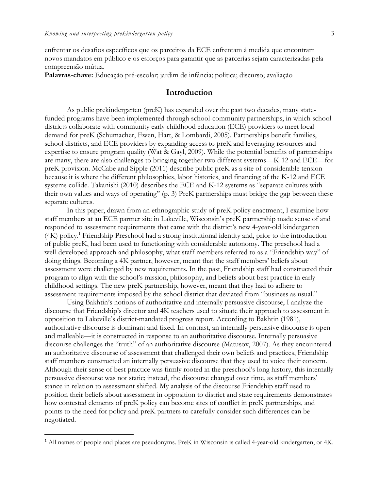$\overline{a}$ 

enfrentar os desafios específicos que os parceiros da ECE enfrentam à medida que encontram novos mandatos em público e os esforços para garantir que as parcerias sejam caracterizadas pela compreensão mútua.

**Palavras-chave:** Educação pré-escolar; jardim de infância; política; discurso; avaliação

## **Introduction**

As public prekindergarten (preK) has expanded over the past two decades, many statefunded programs have been implemented through school-community partnerships, in which school districts collaborate with community early childhood education (ECE) providers to meet local demand for preK (Schumacher, Ewen, Hart, & Lombardi, 2005). Partnerships benefit families, school districts, and ECE providers by expanding access to preK and leveraging resources and expertise to ensure program quality (Wat & Gayl, 2009). While the potential benefits of partnerships are many, there are also challenges to bringing together two different systems—K-12 and ECE—for preK provision. McCabe and Sipple (2011) describe public preK as a site of considerable tension because it is where the different philosophies, labor histories, and financing of the K-12 and ECE systems collide. Takanishi (2010) describes the ECE and K-12 systems as "separate cultures with their own values and ways of operating" (p. 3) PreK partnerships must bridge the gap between these separate cultures.

In this paper, drawn from an ethnographic study of preK policy enactment, I examine how staff members at an ECE partner site in Lakeville, Wisconsin's preK partnership made sense of and responded to assessment requirements that came with the district's new 4-year-old kindergarten (4K) policy.<sup>1</sup> Friendship Preschool had a strong institutional identity and, prior to the introduction of public preK, had been used to functioning with considerable autonomy. The preschool had a well-developed approach and philosophy, what staff members referred to as a "Friendship way" of doing things. Becoming a 4K partner, however, meant that the staff members' beliefs about assessment were challenged by new requirements. In the past, Friendship staff had constructed their program to align with the school's mission, philosophy, and beliefs about best practice in early childhood settings. The new preK partnership, however, meant that they had to adhere to assessment requirements imposed by the school district that deviated from "business as usual."

Using Bakhtin's notions of authoritative and internally persuasive discourse, I analyze the discourse that Friendship's director and 4K teachers used to situate their approach to assessment in opposition to Lakeville's district-mandated progress report. According to Bakhtin (1981), authoritative discourse is dominant and fixed. In contrast, an internally persuasive discourse is open and malleable—it is constructed in response to an authoritative discourse. Internally persuasive discourse challenges the "truth" of an authoritative discourse (Matusov, 2007). As they encountered an authoritative discourse of assessment that challenged their own beliefs and practices, Friendship staff members constructed an internally persuasive discourse that they used to voice their concern. Although their sense of best practice was firmly rooted in the preschool's long history, this internally persuasive discourse was not static; instead, the discourse changed over time, as staff members' stance in relation to assessment shifted. My analysis of the discourse Friendship staff used to position their beliefs about assessment in opposition to district and state requirements demonstrates how contested elements of preK policy can become sites of conflict in preK partnerships, and points to the need for policy and preK partners to carefully consider such differences can be negotiated.

<sup>1</sup> All names of people and places are pseudonyms. PreK in Wisconsin is called 4-year-old kindergarten, or 4K.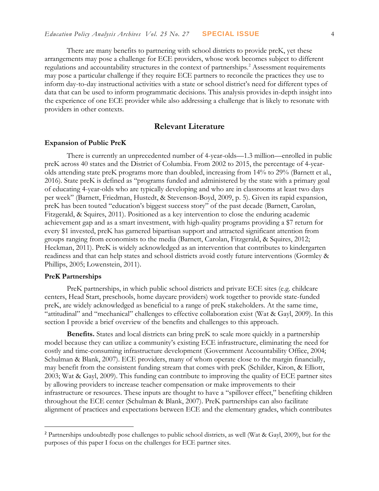There are many benefits to partnering with school districts to provide preK, yet these arrangements may pose a challenge for ECE providers, whose work becomes subject to different regulations and accountability structures in the context of partnerships.<sup>2</sup> Assessment requirements may pose a particular challenge if they require ECE partners to reconcile the practices they use to inform day-to-day instructional activities with a state or school district's need for different types of data that can be used to inform programmatic decisions. This analysis provides in-depth insight into the experience of one ECE provider while also addressing a challenge that is likely to resonate with providers in other contexts.

## **Relevant Literature**

#### **Expansion of Public PreK**

There is currently an unprecedented number of 4-year-olds—1.3 million—enrolled in public preK across 40 states and the District of Columbia. From 2002 to 2015, the percentage of 4-yearolds attending state preK programs more than doubled, increasing from 14% to 29% (Barnett et al., 2016). State preK is defined as "programs funded and administered by the state with a primary goal of educating 4-year-olds who are typically developing and who are in classrooms at least two days per week" (Barnett, Friedman, Hustedt, & Stevenson-Boyd, 2009, p. 5). Given its rapid expansion, preK has been touted "education's biggest success story" of the past decade (Barnett, Carolan, Fitzgerald, & Squires, 2011). Positioned as a key intervention to close the enduring academic achievement gap and as a smart investment, with high-quality programs providing a \$7 return for every \$1 invested, preK has garnered bipartisan support and attracted significant attention from groups ranging from economists to the media (Barnett, Carolan, Fitzgerald, & Squires, 2012; Heckman, 2011). PreK is widely acknowledged as an intervention that contributes to kindergarten readiness and that can help states and school districts avoid costly future interventions (Gormley & Phillips, 2005; Lowenstein, 2011).

## **PreK Partnerships**

 $\overline{a}$ 

PreK partnerships, in which public school districts and private ECE sites (e.g. childcare centers, Head Start, preschools, home daycare providers) work together to provide state-funded preK, are widely acknowledged as beneficial to a range of preK stakeholders. At the same time, "attitudinal" and "mechanical" challenges to effective collaboration exist (Wat & Gayl, 2009). In this section I provide a brief overview of the benefits and challenges to this approach.

**Benefits.** States and local districts can bring preK to scale more quickly in a partnership model because they can utilize a community's existing ECE infrastructure, eliminating the need for costly and time-consuming infrastructure development (Government Accountability Office, 2004; Schulman & Blank, 2007). ECE providers, many of whom operate close to the margin financially, may benefit from the consistent funding stream that comes with preK (Schilder, Kiron, & Elliott, 2003; Wat & Gayl, 2009). This funding can contribute to improving the quality of ECE partner sites by allowing providers to increase teacher compensation or make improvements to their infrastructure or resources. These inputs are thought to have a "spillover effect," benefiting children throughout the ECE center (Schulman & Blank, 2007). PreK partnerships can also facilitate alignment of practices and expectations between ECE and the elementary grades, which contributes

<sup>2</sup> Partnerships undoubtedly pose challenges to public school districts, as well (Wat & Gayl, 2009), but for the purposes of this paper I focus on the challenges for ECE partner sites.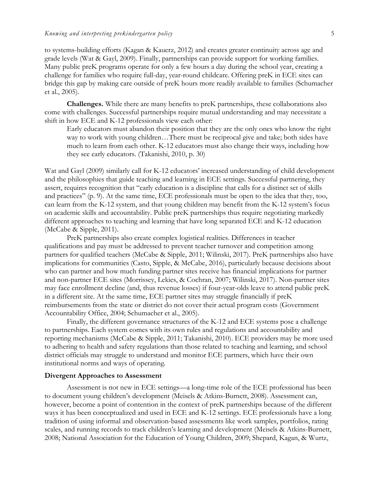to systems-building efforts (Kagan & Kauerz, 2012) and creates greater continuity across age and grade levels (Wat & Gayl, 2009). Finally, partnerships can provide support for working families. Many public preK programs operate for only a few hours a day during the school year, creating a challenge for families who require full-day, year-round childcare. Offering preK in ECE sites can bridge this gap by making care outside of preK hours more readily available to families (Schumacher et al., 2005).

**Challenges.** While there are many benefits to preK partnerships, these collaborations also come with challenges. Successful partnerships require mutual understanding and may necessitate a shift in how ECE and K-12 professionals view each other:

Early educators must abandon their position that they are the only ones who know the right way to work with young children…There must be reciprocal give and take; both sides have much to learn from each other. K-12 educators must also change their ways, including how they see early educators. (Takanishi, 2010, p. 30)

Wat and Gayl (2009) similarly call for K-12 educators' increased understanding of child development and the philosophies that guide teaching and learning in ECE settings. Successful partnering, they assert, requires recognition that "early education is a discipline that calls for a distinct set of skills and practices" (p. 9). At the same time, ECE professionals must be open to the idea that they, too, can learn from the K-12 system, and that young children may benefit from the K-12 system's focus on academic skills and accountability. Public preK partnerships thus require negotiating markedly different approaches to teaching and learning that have long separated ECE and K-12 education (McCabe & Sipple, 2011).

PreK partnerships also create complex logistical realities. Differences in teacher qualifications and pay must be addressed to prevent teacher turnover and competition among partners for qualified teachers (McCabe & Sipple, 2011; Wilinski, 2017). PreK partnerships also have implications for communities (Casto, Sipple, & McCabe, 2016), particularly because decisions about who can partner and how much funding partner sites receive has financial implications for partner and non-partner ECE sites (Morrissey, Lekies, & Cochran, 2007; Wilinski, 2017). Non-partner sites may face enrollment decline (and, thus revenue losses) if four-year-olds leave to attend public preK in a different site. At the same time, ECE partner sites may struggle financially if preK reimbursements from the state or district do not cover their actual program costs (Government Accountability Office, 2004; Schumacher et al., 2005).

Finally, the different governance structures of the K-12 and ECE systems pose a challenge to partnerships. Each system comes with its own rules and regulations and accountability and reporting mechanisms (McCabe & Sipple, 2011; Takanishi, 2010). ECE providers may be more used to adhering to health and safety regulations than those related to teaching and learning, and school district officials may struggle to understand and monitor ECE partners, which have their own institutional norms and ways of operating.

#### **Divergent Approaches to Assessment**

Assessment is not new in ECE settings—a long-time role of the ECE professional has been to document young children's development (Meisels & Atkins-Burnett, 2008). Assessment can, however, become a point of contention in the context of preK partnerships because of the different ways it has been conceptualized and used in ECE and K-12 settings. ECE professionals have a long tradition of using informal and observation-based assessments like work samples, portfolios, rating scales, and running records to track children's learning and development (Meisels & Atkins-Burnett, 2008; National Association for the Education of Young Children, 2009; Shepard, Kagan, & Wurtz,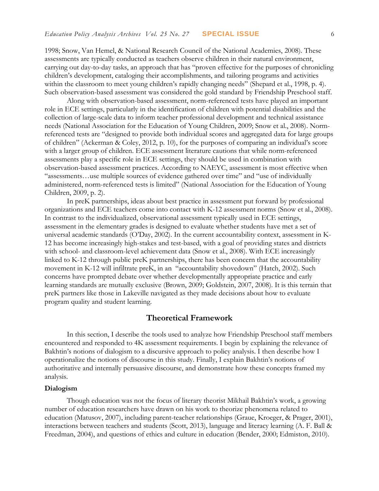1998; Snow, Van Hemel, & National Research Council of the National Academies, 2008). These assessments are typically conducted as teachers observe children in their natural environment, carrying out day-to-day tasks, an approach that has "proven effective for the purposes of chronicling children's development, cataloging their accomplishments, and tailoring programs and activities within the classroom to meet young children's rapidly changing needs" (Shepard et al., 1998, p. 4). Such observation-based assessment was considered the gold standard by Friendship Preschool staff.

Along with observation-based assessment, norm-referenced tests have played an important role in ECE settings, particularly in the identification of children with potential disabilities and the collection of large-scale data to inform teacher professional development and technical assistance needs (National Association for the Education of Young Children, 2009; Snow et al., 2008). Normreferenced tests are "designed to provide both individual scores and aggregated data for large groups of children" (Ackerman & Coley, 2012, p. 10), for the purposes of comparing an individual's score with a larger group of children. ECE assessment literature cautions that while norm-referenced assessments play a specific role in ECE settings, they should be used in combination with observation-based assessment practices. According to NAEYC, assessment is most effective when "assessments…use multiple sources of evidence gathered over time" and "use of individually administered, norm-referenced tests is limited" (National Association for the Education of Young Children, 2009, p. 2).

In preK partnerships, ideas about best practice in assessment put forward by professional organizations and ECE teachers come into contact with K-12 assessment norms (Snow et al., 2008). In contrast to the individualized, observational assessment typically used in ECE settings, assessment in the elementary grades is designed to evaluate whether students have met a set of universal academic standards (O'Day, 2002). In the current accountability context, assessment in K-12 has become increasingly high-stakes and test-based, with a goal of providing states and districts with school- and classroom-level achievement data (Snow et al., 2008). With ECE increasingly linked to K-12 through public preK partnerships, there has been concern that the accountability movement in K-12 will infiltrate preK, in an "accountability shovedown" (Hatch, 2002). Such concerns have prompted debate over whether developmentally appropriate practice and early learning standards are mutually exclusive (Brown, 2009; Goldstein, 2007, 2008). It is this terrain that preK partners like those in Lakeville navigated as they made decisions about how to evaluate program quality and student learning.

## **Theoretical Framework**

In this section, I describe the tools used to analyze how Friendship Preschool staff members encountered and responded to 4K assessment requirements. I begin by explaining the relevance of Bakhtin's notions of dialogism to a discursive approach to policy analysis. I then describe how I operationalize the notions of discourse in this study. Finally, I explain Bakhtin's notions of authoritative and internally persuasive discourse, and demonstrate how these concepts framed my analysis.

#### **Dialogism**

Though education was not the focus of literary theorist Mikhail Bakhtin's work, a growing number of education researchers have drawn on his work to theorize phenomena related to education (Matusov, 2007), including parent-teacher relationships (Graue, Kroeger, & Prager, 2001), interactions between teachers and students (Scott, 2013), language and literacy learning (A. F. Ball & Freedman, 2004), and questions of ethics and culture in education (Bender, 2000; Edmiston, 2010).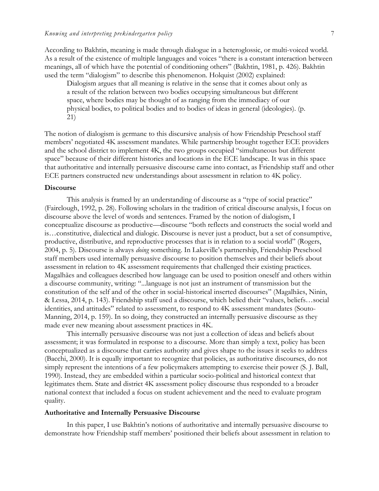According to Bakhtin, meaning is made through dialogue in a heteroglossic, or multi-voiced world. As a result of the existence of multiple languages and voices "there is a constant interaction between meanings, all of which have the potential of conditioning others" (Bakhtin, 1981, p. 426). Bakhtin used the term "dialogism" to describe this phenomenon. Holquist (2002) explained:

Dialogism argues that all meaning is relative in the sense that it comes about only as a result of the relation between two bodies occupying simultaneous but different space, where bodies may be thought of as ranging from the immediacy of our physical bodies, to political bodies and to bodies of ideas in general (ideologies). (p. 21)

The notion of dialogism is germane to this discursive analysis of how Friendship Preschool staff members' negotiated 4K assessment mandates. While partnership brought together ECE providers and the school district to implement 4K, the two groups occupied "simultaneous but different space" because of their different histories and locations in the ECE landscape. It was in this space that authoritative and internally persuasive discourse came into contact, as Friendship staff and other ECE partners constructed new understandings about assessment in relation to 4K policy.

#### **Discourse**

This analysis is framed by an understanding of discourse as a "type of social practice" (Fairclough, 1992, p. 28). Following scholars in the tradition of critical discourse analysis, I focus on discourse above the level of words and sentences. Framed by the notion of dialogism, I conceptualize discourse as productive—discourse "both reflects and constructs the social world and is…constitutive, dialectical and dialogic. Discourse is never just a product, but a set of consumptive, productive, distributive, and reproductive processes that is in relation to a social world" (Rogers, 2004, p. 5). Discourse is always *doing* something. In Lakeville's partnership, Friendship Preschool staff members used internally persuasive discourse to position themselves and their beliefs about assessment in relation to 4K assessment requirements that challenged their existing practices. Magalhães and colleagues described how language can be used to position oneself and others within a discourse community, writing: "...language is not just an instrument of transmission but the constitution of the self and of the other in social-historical inserted discourses" (Magalhães, Ninin, & Lessa, 2014, p. 143). Friendship staff used a discourse, which belied their "values, beliefs…social identities, and attitudes" related to assessment, to respond to 4K assessment mandates (Souto-Manning, 2014, p. 159). In so doing, they constructed an internally persuasive discourse as they made ever new meaning about assessment practices in 4K.

This internally persuasive discourse was not just a collection of ideas and beliefs about assessment; it was formulated in response to a discourse. More than simply a text, policy has been conceptualized as a discourse that carries authority and gives shape to the issues it seeks to address (Bacchi, 2000). It is equally important to recognize that policies, as authoritative discourses, do not simply represent the intentions of a few policymakers attempting to exercise their power (S. J. Ball, 1990). Instead, they are embedded within a particular socio-political and historical context that legitimates them. State and district 4K assessment policy discourse thus responded to a broader national context that included a focus on student achievement and the need to evaluate program quality.

#### **Authoritative and Internally Persuasive Discourse**

In this paper, I use Bakhtin's notions of authoritative and internally persuasive discourse to demonstrate how Friendship staff members' positioned their beliefs about assessment in relation to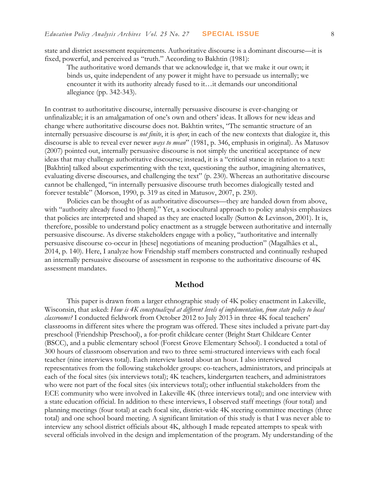state and district assessment requirements. Authoritative discourse is a dominant discourse—it is fixed, powerful, and perceived as "truth." According to Bakhtin (1981):

The authoritative word demands that we acknowledge it, that we make it our own; it binds us, quite independent of any power it might have to persuade us internally; we encounter it with its authority already fused to it…it demands our unconditional allegiance (pp. 342-343).

In contrast to authoritative discourse, internally persuasive discourse is ever-changing or unfinalizable; it is an amalgamation of one's own and others' ideas. It allows for new ideas and change where authoritative discourse does not. Bakhtin writes, "The semantic structure of an internally persuasive discourse is *not finite*, it is *open*; in each of the new contexts that dialogize it, this discourse is able to reveal ever newer *ways to mean*" (1981, p. 346, emphasis in original). As Matusov (2007) pointed out, internally persuasive discourse is not simply the uncritical acceptance of new ideas that may challenge authoritative discourse; instead, it is a "critical stance in relation to a text: [Bakhtin] talked about experimenting with the text, questioning the author, imagining alternatives, evaluating diverse discourses, and challenging the text" (p. 230). Whereas an authoritative discourse cannot be challenged, "in internally persuasive discourse truth becomes dialogically tested and forever testable" (Morson, 1990, p. 319 as cited in Matusov, 2007, p. 230).

Policies can be thought of as authoritative discourses—they are handed down from above, with "authority already fused to [them]." Yet, a sociocultural approach to policy analysis emphasizes that policies are interpreted and shaped as they are enacted locally (Sutton & Levinson, 2001). It is, therefore, possible to understand policy enactment as a struggle between authoritative and internally persuasive discourse. As diverse stakeholders engage with a policy, "authoritative and internally persuasive discourse co-occur in [these] negotiations of meaning production" (Magalhães et al., 2014, p. 140). Here, I analyze how Friendship staff members constructed and continually reshaped an internally persuasive discourse of assessment in response to the authoritative discourse of 4K assessment mandates.

#### **Method**

This paper is drawn from a larger ethnographic study of 4K policy enactment in Lakeville, Wisconsin, that asked: *How is 4K conceptualized at different levels of implementation, from state policy to local classrooms?* I conducted fieldwork from October 2012 to July 2013 in three 4K focal teachers' classrooms in different sites where the program was offered. These sites included a private part-day preschool (Friendship Preschool), a for-profit childcare center (Bright Start Childcare Center (BSCC), and a public elementary school (Forest Grove Elementary School). I conducted a total of 300 hours of classroom observation and two to three semi-structured interviews with each focal teacher (nine interviews total). Each interview lasted about an hour. I also interviewed representatives from the following stakeholder groups: co-teachers, administrators, and principals at each of the focal sites (six interviews total); 4K teachers, kindergarten teachers, and administrators who were not part of the focal sites (six interviews total); other influential stakeholders from the ECE community who were involved in Lakeville 4K (three interviews total); and one interview with a state education official. In addition to these interviews, I observed staff meetings (four total) and planning meetings (four total) at each focal site, district-wide 4K steering committee meetings (three total) and one school board meeting. A significant limitation of this study is that I was never able to interview any school district officials about 4K, although I made repeated attempts to speak with several officials involved in the design and implementation of the program. My understanding of the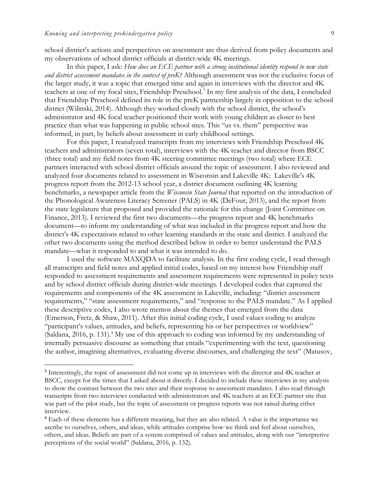$\overline{a}$ 

school district's actions and perspectives on assessment are thus derived from policy documents and my observations of school district officials at district-wide 4K meetings.

In this paper, I ask: *How does an ECE partner with a strong institutional identity respond to new state and district assessment mandates in the context of preK?* Although assessment was not the exclusive focus of the larger study, it was a topic that emerged time and again in interviews with the director and 4K teachers at one of my focal sites, Friendship Preschool.<sup>3</sup> In my first analysis of the data, I concluded that Friendship Preschool defined its role in the preK partnership largely in opposition to the school district (Wilinski, 2014). Although they worked closely with the school district, the school's administrator and 4K focal teacher positioned their work with young children as closer to best practice than what was happening in public school sites. This "us vs. them" perspective was informed, in part, by beliefs about assessment in early childhood settings.

For this paper, I reanalyzed transcripts from my interviews with Friendship Preschool 4K teachers and administrators (seven total), interviews with the 4K teacher and director from BSCC (three total) and my field notes from 4K steering committee meetings (two total) where ECE partners interacted with school district officials around the topic of assessment. I also reviewed and analyzed four documents related to assessment in Wisconsin and Lakeville 4K: Lakeville's 4K progress report from the 2012-13 school year, a district document outlining 4K learning benchmarks, a newspaper article from the *Wisconsin State Journal* that reported on the introduction of the Phonological Awareness Literacy Screener (PALS) in 4K (DeFour, 2013), and the report from the state legislature that proposed and provided the rationale for this change (Joint Committee on Finance, 2013). I reviewed the first two documents—the progress report and 4K benchmarks document—to inform my understanding of what was included in the progress report and how the district's 4K expectations related to other learning standards in the state and district. I analyzed the other two documents using the method described below in order to better understand the PALS mandate—what it responded to and what it was intended to do.

I used the software MAXQDA to facilitate analysis. In the first coding cycle, I read through all transcripts and field notes and applied initial codes, based on my interest how Friendship staff responded to assessment requirements and assessment requirements were represented in policy texts and by school district officials during district-wide meetings. I developed codes that captured the requirements and components of the 4K assessment in Lakeville, including: "district assessment requirements," "state assessment requirements," and "response to the PALS mandate." As I applied these descriptive codes, I also wrote memos about the themes that emerged from the data (Emerson, Fretz, & Shaw, 2011). After this initial coding cycle, I used values coding to analyze "participant's values, attitudes, and beliefs, representing his or her perspectives or worldview" (Saldana, 2016, p. 131). <sup>4</sup> My use of this approach to coding was informed by my understanding of internally persuasive discourse as something that entails "experimenting with the text, questioning the author, imagining alternatives, evaluating diverse discourses, and challenging the text" (Matusov,

<sup>&</sup>lt;sup>3</sup> Interestingly, the topic of assessment did not come up in interviews with the director and 4K teacher at BSCC, except for the times that I asked about it directly. I decided to include these interviews in my analysis to show the contrast between the two sites and their response to assessment mandates. I also read through transcripts from two interviews conducted with administrators and 4K teachers at an ECE partner site that was part of the pilot study, but the topic of assessment or progress reports was not raised during either interview.

<sup>4</sup> Each of these elements has a different meaning, but they are also related. A value is the importance we ascribe to ourselves, others, and ideas, while attitudes comprise how we think and feel about ourselves, others, and ideas. Beliefs are part of a system comprised of values and attitudes, along with our "interpretive perceptions of the social world" (Saldana, 2016, p. 132).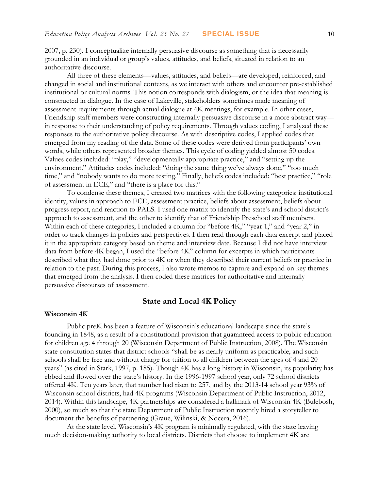2007, p. 230). I conceptualize internally persuasive discourse as something that is necessarily grounded in an individual or group's values, attitudes, and beliefs, situated in relation to an authoritative discourse.

All three of these elements—values, attitudes, and beliefs—are developed, reinforced, and changed in social and institutional contexts, as we interact with others and encounter pre-established institutional or cultural norms. This notion corresponds with dialogism, or the idea that meaning is constructed in dialogue. In the case of Lakeville, stakeholders sometimes made meaning of assessment requirements through actual dialogue at 4K meetings, for example. In other cases, Friendship staff members were constructing internally persuasive discourse in a more abstract way in response to their understanding of policy requirements. Through values coding, I analyzed these responses to the authoritative policy discourse. As with descriptive codes, I applied codes that emerged from my reading of the data. Some of these codes were derived from participants' own words, while others represented broader themes. This cycle of coding yielded almost 50 codes. Values codes included: "play," "developmentally appropriate practice," and "setting up the environment." Attitudes codes included: "doing the same thing we've always done," "too much time," and "nobody wants to do more testing." Finally, beliefs codes included: "best practice," "role of assessment in ECE," and "there is a place for this."

To condense these themes, I created two matrices with the following categories: institutional identity, values in approach to ECE, assessment practice, beliefs about assessment, beliefs about progress report, and reaction to PALS. I used one matrix to identify the state's and school district's approach to assessment, and the other to identify that of Friendship Preschool staff members. Within each of these categories, I included a column for "before 4K," "year 1," and "year 2," in order to track changes in policies and perspectives. I then read through each data excerpt and placed it in the appropriate category based on theme and interview date. Because I did not have interview data from before 4K began, I used the "before 4K" column for excerpts in which participants described what they had done prior to 4K or when they described their current beliefs or practice in relation to the past. During this process, I also wrote memos to capture and expand on key themes that emerged from the analysis. I then coded these matrices for authoritative and internally persuasive discourses of assessment.

#### **State and Local 4K Policy**

#### **Wisconsin 4K**

Public preK has been a feature of Wisconsin's educational landscape since the state's founding in 1848, as a result of a constitutional provision that guaranteed access to public education for children age 4 through 20 (Wisconsin Department of Public Instruction, 2008). The Wisconsin state constitution states that district schools "shall be as nearly uniform as practicable, and such schools shall be free and without charge for tuition to all children between the ages of 4 and 20 years" (as cited in Stark, 1997, p. 185). Though 4K has a long history in Wisconsin, its popularity has ebbed and flowed over the state's history. In the 1996-1997 school year, only 72 school districts offered 4K. Ten years later, that number had risen to 257, and by the 2013-14 school year 93% of Wisconsin school districts, had 4K programs (Wisconsin Department of Public Instruction, 2012, 2014). Within this landscape, 4K partnerships are considered a hallmark of Wisconsin 4K (Bulebosh, 2000), so much so that the state Department of Public Instruction recently hired a storyteller to document the benefits of partnering (Graue, Wilinski, & Nocera, 2016).

At the state level, Wisconsin's 4K program is minimally regulated, with the state leaving much decision-making authority to local districts. Districts that choose to implement 4K are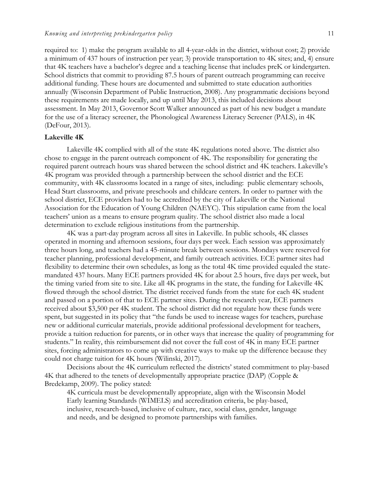required to: 1) make the program available to all 4-year-olds in the district, without cost; 2) provide a minimum of 437 hours of instruction per year; 3) provide transportation to 4K sites; and, 4) ensure that 4K teachers have a bachelor's degree and a teaching license that includes preK or kindergarten. School districts that commit to providing 87.5 hours of parent outreach programming can receive additional funding. These hours are documented and submitted to state education authorities annually (Wisconsin Department of Public Instruction, 2008). Any programmatic decisions beyond these requirements are made locally, and up until May 2013, this included decisions about assessment. In May 2013, Governor Scott Walker announced as part of his new budget a mandate for the use of a literacy screener, the Phonological Awareness Literacy Screener (PALS), in 4K (DeFour, 2013).

#### **Lakeville 4K**

Lakeville 4K complied with all of the state 4K regulations noted above. The district also chose to engage in the parent outreach component of 4K. The responsibility for generating the required parent outreach hours was shared between the school district and 4K teachers. Lakeville's 4K program was provided through a partnership between the school district and the ECE community, with 4K classrooms located in a range of sites, including: public elementary schools, Head Start classrooms, and private preschools and childcare centers. In order to partner with the school district, ECE providers had to be accredited by the city of Lakeville or the National Association for the Education of Young Children (NAEYC). This stipulation came from the local teachers' union as a means to ensure program quality. The school district also made a local determination to exclude religious institutions from the partnership.

4K was a part-day program across all sites in Lakeville. In public schools, 4K classes operated in morning and afternoon sessions, four days per week. Each session was approximately three hours long, and teachers had a 45-minute break between sessions. Mondays were reserved for teacher planning, professional development, and family outreach activities. ECE partner sites had flexibility to determine their own schedules, as long as the total 4K time provided equaled the statemandated 437 hours. Many ECE partners provided 4K for about 2.5 hours, five days per week, but the timing varied from site to site. Like all 4K programs in the state, the funding for Lakeville 4K flowed through the school district. The district received funds from the state for each 4K student and passed on a portion of that to ECE partner sites. During the research year, ECE partners received about \$3,500 per 4K student. The school district did not regulate how these funds were spent, but suggested in its policy that "the funds be used to increase wages for teachers, purchase new or additional curricular materials, provide additional professional development for teachers, provide a tuition reduction for parents, or in other ways that increase the quality of programming for students." In reality, this reimbursement did not cover the full cost of 4K in many ECE partner sites, forcing administrators to come up with creative ways to make up the difference because they could not charge tuition for 4K hours (Wilinski, 2017).

Decisions about the 4K curriculum reflected the districts' stated commitment to play-based 4K that adhered to the tenets of developmentally appropriate practice (DAP) (Copple & Bredekamp, 2009). The policy stated:

4K curricula must be developmentally appropriate, align with the Wisconsin Model Early learning Standards (WIMELS) and accreditation criteria, be play-based, inclusive, research-based, inclusive of culture, race, social class, gender, language and needs, and be designed to promote partnerships with families.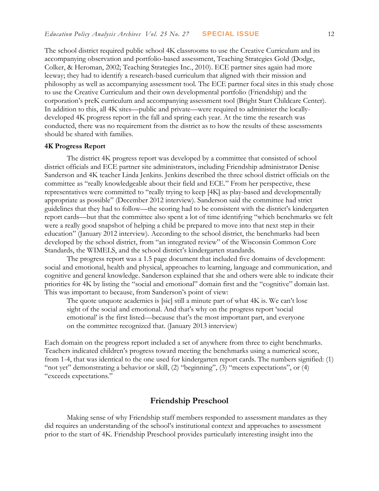The school district required public school 4K classrooms to use the Creative Curriculum and its accompanying observation and portfolio-based assessment, Teaching Strategies Gold (Dodge, Colker, & Heroman, 2002; Teaching Strategies Inc., 2010). ECE partner sites again had more leeway; they had to identify a research-based curriculum that aligned with their mission and philosophy as well as accompanying assessment tool. The ECE partner focal sites in this study chose to use the Creative Curriculum and their own developmental portfolio (Friendship) and the corporation's preK curriculum and accompanying assessment tool (Bright Start Childcare Center). In addition to this, all 4K sites—public and private—were required to administer the locallydeveloped 4K progress report in the fall and spring each year. At the time the research was conducted, there was no requirement from the district as to how the results of these assessments should be shared with families.

#### **4K Progress Report**

The district 4K progress report was developed by a committee that consisted of school district officials and ECE partner site administrators, including Friendship administrator Denise Sanderson and 4K teacher Linda Jenkins. Jenkins described the three school district officials on the committee as "really knowledgeable about their field and ECE." From her perspective, these representatives were committed to "really trying to keep [4K] as play-based and developmentally appropriate as possible" (December 2012 interview). Sanderson said the committee had strict guidelines that they had to follow—the scoring had to be consistent with the district's kindergarten report cards—but that the committee also spent a lot of time identifying "which benchmarks we felt were a really good snapshot of helping a child be prepared to move into that next step in their education" (January 2012 interview). According to the school district, the benchmarks had been developed by the school district, from "an integrated review" of the Wisconsin Common Core Standards, the WIMELS, and the school district's kindergarten standards.

The progress report was a 1.5 page document that included five domains of development: social and emotional, health and physical, approaches to learning, language and communication, and cognitive and general knowledge. Sanderson explained that she and others were able to indicate their priorities for 4K by listing the "social and emotional" domain first and the "cognitive" domain last. This was important to because, from Sanderson's point of view:

The quote unquote academics is [sic] still a minute part of what 4K is. We can't lose sight of the social and emotional. And that's why on the progress report 'social emotional' is the first listed—because that's the most important part, and everyone on the committee recognized that. (January 2013 interview)

Each domain on the progress report included a set of anywhere from three to eight benchmarks. Teachers indicated children's progress toward meeting the benchmarks using a numerical score, from 1-4, that was identical to the one used for kindergarten report cards. The numbers signified: (1) "not yet" demonstrating a behavior or skill, (2) "beginning", (3) "meets expectations", or (4) "exceeds expectations."

## **Friendship Preschool**

Making sense of why Friendship staff members responded to assessment mandates as they did requires an understanding of the school's institutional context and approaches to assessment prior to the start of 4K. Friendship Preschool provides particularly interesting insight into the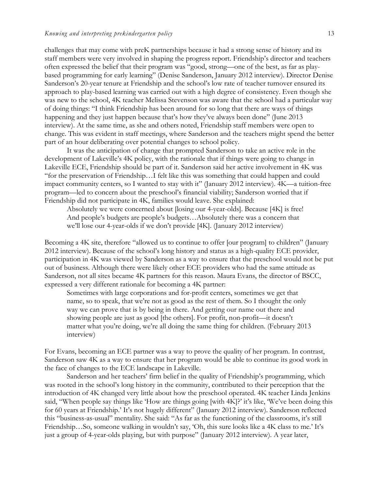challenges that may come with preK partnerships because it had a strong sense of history and its staff members were very involved in shaping the progress report. Friendship's director and teachers often expressed the belief that their program was "good, strong—one of the best, as far as playbased programming for early learning" (Denise Sanderson, January 2012 interview). Director Denise Sanderson's 20-year tenure at Friendship and the school's low rate of teacher turnover ensured its approach to play-based learning was carried out with a high degree of consistency. Even though she was new to the school, 4K teacher Melissa Stevenson was aware that the school had a particular way of doing things: "I think Friendship has been around for so long that there are ways of things happening and they just happen because that's how they've always been done" (June 2013 interview). At the same time, as she and others noted, Friendship staff members were open to change. This was evident in staff meetings, where Sanderson and the teachers might spend the better part of an hour deliberating over potential changes to school policy.

It was the anticipation of change that prompted Sanderson to take an active role in the development of Lakeville's 4K policy, with the rationale that if things were going to change in Lakeville ECE, Friendship should be part of it. Sanderson said her active involvement in 4K was "for the preservation of Friendship…I felt like this was something that could happen and could impact community centers, so I wanted to stay with it" (January 2012 interview). 4K—a tuition-free program—led to concern about the preschool's financial viability; Sanderson worried that if Friendship did not participate in 4K, families would leave. She explained:

Absolutely we were concerned about [losing our 4-year-olds]. Because [4K] is free! And people's budgets are people's budgets…Absolutely there was a concern that we'll lose our 4-year-olds if we don't provide [4K]. (January 2012 interview)

Becoming a 4K site, therefore "allowed us to continue to offer [our program] to children" (January 2012 interview). Because of the school's long history and status as a high-quality ECE provider, participation in 4K was viewed by Sanderson as a way to ensure that the preschool would not be put out of business. Although there were likely other ECE providers who had the same attitude as Sanderson, not all sites became 4K partners for this reason. Maura Evans, the director of BSCC, expressed a very different rationale for becoming a 4K partner:

Sometimes with large corporations and for-profit centers, sometimes we get that name, so to speak, that we're not as good as the rest of them. So I thought the only way we can prove that is by being in there. And getting our name out there and showing people are just as good [the others]. For profit, non-profit—it doesn't matter what you're doing, we're all doing the same thing for children. (February 2013 interview)

For Evans, becoming an ECE partner was a way to prove the quality of her program. In contrast, Sanderson saw 4K as a way to ensure that her program would be able to continue its good work in the face of changes to the ECE landscape in Lakeville.

Sanderson and her teachers' firm belief in the quality of Friendship's programming, which was rooted in the school's long history in the community, contributed to their perception that the introduction of 4K changed very little about how the preschool operated. 4K teacher Linda Jenkins said, "When people say things like 'How are things going [with 4K]?' it's like, 'We've been doing this for 60 years at Friendship.' It's not hugely different" (January 2012 interview). Sanderson reflected this "business-as-usual" mentality. She said: "As far as the functioning of the classrooms, it's still Friendship…So, someone walking in wouldn't say, 'Oh, this sure looks like a 4K class to me.' It's just a group of 4-year-olds playing, but with purpose" (January 2012 interview). A year later,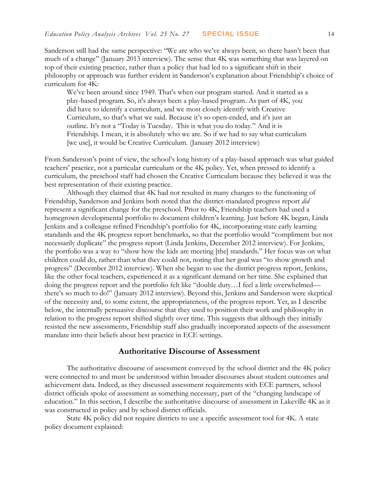Sanderson still had the same perspective: "We are who we've always been, so there hasn't been that much of a change" (January 2013 interview). The sense that 4K was something that was layered on top of their existing practice, rather than a policy that had led to a significant shift in their philosophy or approach was further evident in Sanderson's explanation about Friendship's choice of curriculum for 4K:

We've been around since 1949. That's when our program started. And it started as a play-based program. So, it's always been a play-based program. As part of 4K, you did have to identify a curriculum, and we most closely identify with Creative Curriculum, so that's what we said. Because it's so open-ended, and it's just an outline. It's not a "Today is Tuesday. This is what you do today." And it is Friendship. I mean, it is absolutely who we are. So if we had to say what curriculum [we use], it would be Creative Curriculum. (January 2012 interview)

From Sanderson's point of view, the school's long history of a play-based approach was what guided teachers' practice, not a particular curriculum or the 4K policy. Yet, when pressed to identify a curriculum, the preschool staff had chosen the Creative Curriculum because they believed it was the best representation of their existing practice.

Although they claimed that 4K had not resulted in many changes to the functioning of Friendship, Sanderson and Jenkins both noted that the district-mandated progress report *did* represent a significant change for the preschool. Prior to 4K, Friendship teachers had used a homegrown developmental portfolio to document children's learning. Just before 4K began, Linda Jenkins and a colleague refined Friendship's portfolio for 4K, incorporating state early learning standards and the 4K progress report benchmarks, so that the portfolio would "compliment but not necessarily duplicate" the progress report (Linda Jenkins, December 2012 interview). For Jenkins, the portfolio was a way to "show how the kids are meeting [the] standards." Her focus was on what children could do, rather than what they could not, noting that her goal was "to show growth and progress" (December 2012 interview). When she began to use the district progress report, Jenkins, like the other focal teachers, experienced it as a significant demand on her time. She explained that doing the progress report and the portfolio felt like "double duty…I feel a little overwhelmed there's so much to do!" (January 2012 interview). Beyond this, Jenkins and Sanderson were skeptical of the necessity and, to some extent, the appropriateness, of the progress report. Yet, as I describe below, the internally persuasive discourse that they used to position their work and philosophy in relation to the progress report shifted slightly over time. This suggests that although they initially resisted the new assessments, Friendship staff also gradually incorporated aspects of the assessment mandate into their beliefs about best practice in ECE settings.

#### **Authoritative Discourse of Assessment**

The authoritative discourse of assessment conveyed by the school district and the 4K policy were connected to and must be understood within broader discourses about student outcomes and achievement data. Indeed, as they discussed assessment requirements with ECE partners, school district officials spoke of assessment as something necessary, part of the "changing landscape of education." In this section, I describe the authoritative discourse of assessment in Lakeville 4K as it was constructed in policy and by school district officials.

State 4K policy did not require districts to use a specific assessment tool for 4K. A state policy document explained: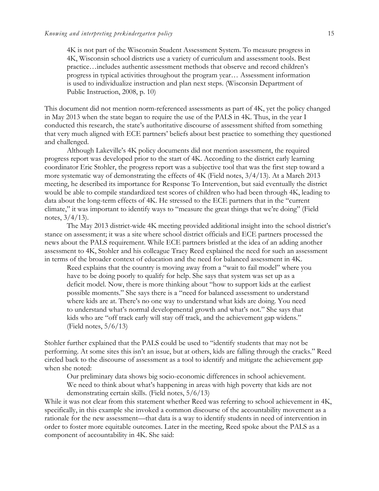4K is not part of the Wisconsin Student Assessment System. To measure progress in 4K, Wisconsin school districts use a variety of curriculum and assessment tools. Best practice…includes authentic assessment methods that observe and record children's progress in typical activities throughout the program year… Assessment information is used to individualize instruction and plan next steps. (Wisconsin Department of Public Instruction, 2008, p. 10)

This document did not mention norm-referenced assessments as part of 4K, yet the policy changed in May 2013 when the state began to require the use of the PALS in 4K. Thus, in the year I conducted this research, the state's authoritative discourse of assessment shifted from something that very much aligned with ECE partners' beliefs about best practice to something they questioned and challenged.

Although Lakeville's 4K policy documents did not mention assessment, the required progress report was developed prior to the start of 4K. According to the district early learning coordinator Eric Stohler, the progress report was a subjective tool that was the first step toward a more systematic way of demonstrating the effects of 4K (Field notes, 3/4/13). At a March 2013 meeting, he described its importance for Response To Intervention, but said eventually the district would be able to compile standardized test scores of children who had been through 4K, leading to data about the long-term effects of 4K. He stressed to the ECE partners that in the "current climate," it was important to identify ways to "measure the great things that we're doing" (Field notes, 3/4/13).

The May 2013 district-wide 4K meeting provided additional insight into the school district's stance on assessment; it was a site where school district officials and ECE partners processed the news about the PALS requirement. While ECE partners bristled at the idea of an adding another assessment to 4K, Stohler and his colleague Tracy Reed explained the need for such an assessment in terms of the broader context of education and the need for balanced assessment in 4K.

Reed explains that the country is moving away from a "wait to fail model" where you have to be doing poorly to qualify for help. She says that system was set up as a deficit model. Now, there is more thinking about "how to support kids at the earliest possible moments." She says there is a "need for balanced assessment to understand where kids are at. There's no one way to understand what kids are doing. You need to understand what's normal developmental growth and what's not." She says that kids who are "off track early will stay off track, and the achievement gap widens." (Field notes,  $5/6/13$ )

Stohler further explained that the PALS could be used to "identify students that may not be performing. At some sites this isn't an issue, but at others, kids are falling through the cracks." Reed circled back to the discourse of assessment as a tool to identify and mitigate the achievement gap when she noted:

Our preliminary data shows big socio-economic differences in school achievement. We need to think about what's happening in areas with high poverty that kids are not demonstrating certain skills. (Field notes, 5/6/13)

While it was not clear from this statement whether Reed was referring to school achievement in 4K, specifically, in this example she invoked a common discourse of the accountability movement as a rationale for the new assessment—that data is a way to identify students in need of intervention in order to foster more equitable outcomes. Later in the meeting, Reed spoke about the PALS as a component of accountability in 4K. She said: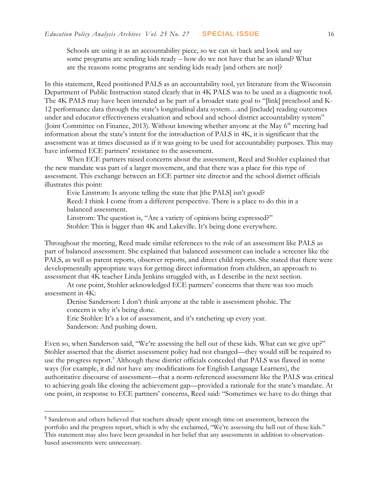Schools are using it as an accountability piece, so we can sit back and look and say some programs are sending kids ready – how do we not have that be an island? What are the reasons some programs are sending kids ready [and others are not]?

In this statement, Reed positioned PALS as an accountability tool, yet literature from the Wisconsin Department of Public Instruction stated clearly that in 4K PALS was to be used as a diagnostic tool. The 4K PALS may have been intended as be part of a broader state goal to "[link] preschool and K-12 performance data through the state's longitudinal data system…and [include] reading outcomes under and educator effectiveness evaluation and school and school district accountability system" (Joint Committee on Finance, 2013). Without knowing whether anyone at the May 6<sup>th</sup> meeting had information about the state's intent for the introduction of PALS in 4K, it is significant that the assessment was at times discussed as if it was going to be used for accountability purposes. This may have informed ECE partners' resistance to the assessment.

When ECE partners raised concerns about the assessment, Reed and Stohler explained that the new mandate was part of a larger movement, and that there was a place for this type of assessment. This exchange between an ECE partner site director and the school district officials illustrates this point:

Evie Linstrom: Is anyone telling the state that [the PALS] isn't good? Reed: I think I come from a different perspective. There is a place to do this in a balanced assessment.

Linstrom: The question is, "Are a variety of opinions being expressed?" Stohler: This is bigger than 4K and Lakeville. It's being done everywhere.

Throughout the meeting, Reed made similar references to the role of an assessment like PALS as part of balanced assessment. She explained that balanced assessment can include a screener like the PALS, as well as parent reports, observer reports, and direct child reports. She stated that there were developmentally appropriate ways for getting direct information from children, an approach to assessment that 4K teacher Linda Jenkins struggled with, as I describe in the next section.

At one point, Stohler acknowledged ECE partners' concerns that there was too much assessment in 4K:

Denise Sanderson: I don't think anyone at the table is assessment phobic. The concern is why it's being done.

Eric Stohler: It's a lot of assessment, and it's ratcheting up every year.

Sanderson: And pushing down.

 $\overline{a}$ 

Even so, when Sanderson said, "We're assessing the hell out of these kids. What can we give up?" Stohler asserted that the district assessment policy had not changed—they would still be required to use the progress report.<sup>5</sup> Although these district officials conceded that PALS was flawed in some ways (for example, it did not have any modifications for English Language Learners), the authoritative discourse of assessment—that a norm-referenced assessment like the PALS was critical to achieving goals like closing the achievement gap—provided a rationale for the state's mandate. At one point, in response to ECE partners' concerns, Reed said: "Sometimes we have to do things that

<sup>5</sup> Sanderson and others believed that teachers already spent enough time on assessment, between the portfolio and the progress report, which is why she exclaimed, "We're assessing the hell out of these kids." This statement may also have been grounded in her belief that any assessments in addition to observationbased assessments were unnecessary.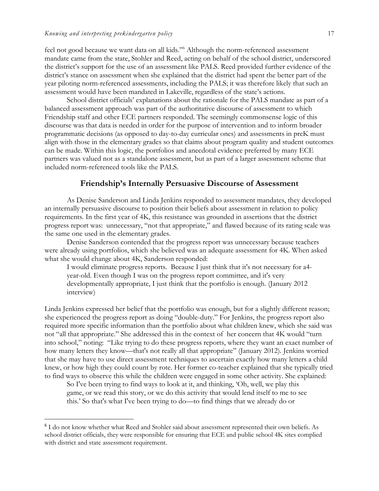$\overline{a}$ 

feel not good because we want data on all kids."<sup>6</sup> Although the norm-referenced assessment mandate came from the state, Stohler and Reed, acting on behalf of the school district, underscored the district's support for the use of an assessment like PALS. Reed provided further evidence of the district's stance on assessment when she explained that the district had spent the better part of the year piloting norm-referenced assessments, including the PALS; it was therefore likely that such an assessment would have been mandated in Lakeville, regardless of the state's actions.

School district officials' explanations about the rationale for the PALS mandate as part of a balanced assessment approach was part of the authoritative discourse of assessment to which Friendship staff and other ECE partners responded. The seemingly commonsense logic of this discourse was that data is needed in order for the purpose of intervention and to inform broader programmatic decisions (as opposed to day-to-day curricular ones) and assessments in preK must align with those in the elementary grades so that claims about program quality and student outcomes can be made. Within this logic, the portfolios and anecdotal evidence preferred by many ECE partners was valued not as a standalone assessment, but as part of a larger assessment scheme that included norm-referenced tools like the PALS.

## **Friendship's Internally Persuasive Discourse of Assessment**

As Denise Sanderson and Linda Jenkins responded to assessment mandates, they developed an internally persuasive discourse to position their beliefs about assessment in relation to policy requirements. In the first year of 4K, this resistance was grounded in assertions that the district progress report was: unnecessary, "not that appropriate," and flawed because of its rating scale was the same one used in the elementary grades.

Denise Sanderson contended that the progress report was unnecessary because teachers were already using portfolios, which she believed was an adequate assessment for 4K. When asked what she would change about 4K, Sanderson responded:

I would eliminate progress reports. Because I just think that it's not necessary for a4 year-old. Even though I was on the progress report committee, and it's very developmentally appropriate, I just think that the portfolio is enough. (January 2012 interview)

Linda Jenkins expressed her belief that the portfolio was enough, but for a slightly different reason; she experienced the progress report as doing "double-duty." For Jenkins, the progress report also required more specific information than the portfolio about what children knew, which she said was not "all that appropriate." She addressed this in the context of her concern that 4K would "turn into school," noting: "Like trying to do these progress reports, where they want an exact number of how many letters they know—that's not really all that appropriate" (January 2012). Jenkins worried that she may have to use direct assessment techniques to ascertain exactly how many letters a child knew, or how high they could count by rote. Her former co-teacher explained that she typically tried to find ways to observe this while the children were engaged in some other activity. She explained:

So I've been trying to find ways to look at it, and thinking, 'Oh, well, we play this game, or we read this story, or we do this activity that would lend itself to me to see this.' So that's what I've been trying to do—to find things that we already do or

<sup>&</sup>lt;sup>6</sup> I do not know whether what Reed and Stohler said about assessment represented their own beliefs. As school district officials, they were responsible for ensuring that ECE and public school 4K sites complied with district and state assessment requirement.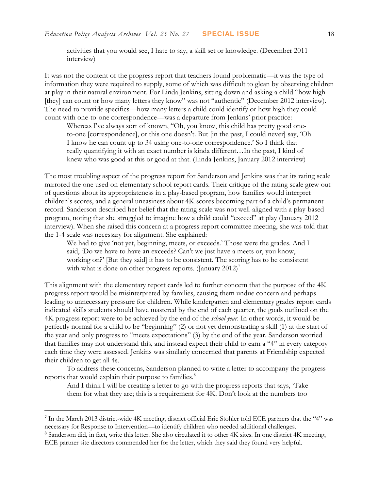activities that you would see, I hate to say, a skill set or knowledge. (December 2011 interview)

It was not the content of the progress report that teachers found problematic—it was the type of information they were required to supply, some of which was difficult to glean by observing children at play in their natural environment. For Linda Jenkins, sitting down and asking a child "how high [they] can count or how many letters they know" was not "authentic" (December 2012 interview). The need to provide specifics—how many letters a child could identify or how high they could count with one-to-one correspondence—was a departure from Jenkins' prior practice:

Whereas I've always sort of known, "Oh, you know, this child has pretty good oneto-one [correspondence], or this one doesn't. But [in the past, I could never] say, 'Oh I know he can count up to 34 using one-to-one correspondence.' So I think that really quantifying it with an exact number is kinda different…In the past, I kind of knew who was good at this or good at that. (Linda Jenkins, January 2012 interview)

The most troubling aspect of the progress report for Sanderson and Jenkins was that its rating scale mirrored the one used on elementary school report cards. Their critique of the rating scale grew out of questions about its appropriateness in a play-based program, how families would interpret children's scores, and a general uneasiness about 4K scores becoming part of a child's permanent record. Sanderson described her belief that the rating scale was not well-aligned with a play-based program, noting that she struggled to imagine how a child could "exceed" at play (January 2012 interview). When she raised this concern at a progress report committee meeting, she was told that the 1-4 scale was necessary for alignment. She explained:

We had to give 'not yet, beginning, meets, or exceeds.' Those were the grades. And I said, 'Do we have to have an exceeds? Can't we just have a meets or, you know, working on?' [But they said] it has to be consistent. The scoring has to be consistent with what is done on other progress reports. (January 2012)<sup>7</sup>

This alignment with the elementary report cards led to further concern that the purpose of the 4K progress report would be misinterpreted by families, causing them undue concern and perhaps leading to unnecessary pressure for children. While kindergarten and elementary grades report cards indicated skills students should have mastered by the end of each quarter, the goals outlined on the 4K progress report were to be achieved by the end of the *school year*. In other words, it would be perfectly normal for a child to be "beginning" (2) or not yet demonstrating a skill (1) at the start of the year and only progress to "meets expectations" (3) by the end of the year. Sanderson worried that families may not understand this, and instead expect their child to earn a "4" in every category each time they were assessed. Jenkins was similarly concerned that parents at Friendship expected their children to get all 4s.

To address these concerns, Sanderson planned to write a letter to accompany the progress reports that would explain their purpose to families.<sup>8</sup>

And I think I will be creating a letter to go with the progress reports that says, 'Take them for what they are; this is a requirement for 4K. Don't look at the numbers too

 $\overline{a}$ 

<sup>&</sup>lt;sup>7</sup> In the March 2013 district-wide 4K meeting, district official Eric Stohler told ECE partners that the "4" was necessary for Response to Intervention—to identify children who needed additional challenges.

<sup>&</sup>lt;sup>8</sup> Sanderson did, in fact, write this letter. She also circulated it to other 4K sites. In one district 4K meeting, ECE partner site directors commended her for the letter, which they said they found very helpful.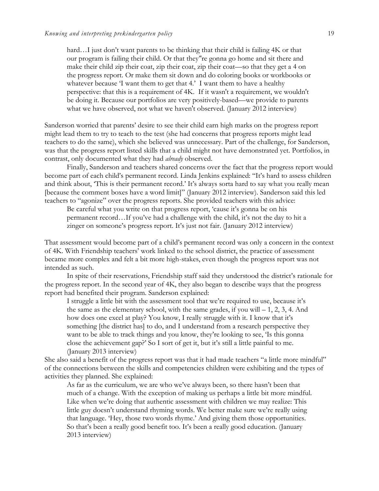hard…I just don't want parents to be thinking that their child is failing 4K or that our program is failing their child. Or that they''re gonna go home and sit there and make their child zip their coat, zip their coat, zip their coat—so that they get a 4 on the progress report. Or make them sit down and do coloring books or workbooks or whatever because 'I want them to get that 4.' I want them to have a healthy perspective: that this is a requirement of 4K. If it wasn't a requirement, we wouldn't be doing it. Because our portfolios are very positively-based—we provide to parents what we have observed, not what we haven't observed. (January 2012 interview)

Sanderson worried that parents' desire to see their child earn high marks on the progress report might lead them to try to teach to the test (she had concerns that progress reports might lead teachers to do the same), which she believed was unnecessary. Part of the challenge, for Sanderson, was that the progress report listed skills that a child might not have demonstrated yet. Portfolios, in contrast, only documented what they had *already* observed.

Finally, Sanderson and teachers shared concerns over the fact that the progress report would become part of each child's permanent record. Linda Jenkins explained: "It's hard to assess children and think about, 'This is their permanent record.' It's always sorta hard to say what you really mean [because the comment boxes have a word limit]" (January 2012 interview). Sanderson said this led teachers to "agonize" over the progress reports. She provided teachers with this advice:

Be careful what you write on that progress report, 'cause it's gonna be on his permanent record…If you've had a challenge with the child, it's not the day to hit a zinger on someone's progress report. It's just not fair. (January 2012 interview)

That assessment would become part of a child's permanent record was only a concern in the context of 4K. With Friendship teachers' work linked to the school district, the practice of assessment became more complex and felt a bit more high-stakes, even though the progress report was not intended as such.

In spite of their reservations, Friendship staff said they understood the district's rationale for the progress report. In the second year of 4K, they also began to describe ways that the progress report had benefited their program. Sanderson explained:

I struggle a little bit with the assessment tool that we're required to use, because it's the same as the elementary school, with the same grades, if you will  $-1$ , 2, 3, 4. And how does one excel at play? You know, I really struggle with it. I know that it's something [the district has] to do, and I understand from a research perspective they want to be able to track things and you know, they're looking to see, 'Is this gonna close the achievement gap?' So I sort of get it, but it's still a little painful to me. (January 2013 interview)

She also said a benefit of the progress report was that it had made teachers "a little more mindful" of the connections between the skills and competencies children were exhibiting and the types of activities they planned. She explained:

As far as the curriculum, we are who we've always been, so there hasn't been that much of a change. With the exception of making us perhaps a little bit more mindful. Like when we're doing that authentic assessment with children we may realize: This little guy doesn't understand rhyming words. We better make sure we're really using that language. 'Hey, those two words rhyme.' And giving them those opportunities. So that's been a really good benefit too. It's been a really good education. (January 2013 interview)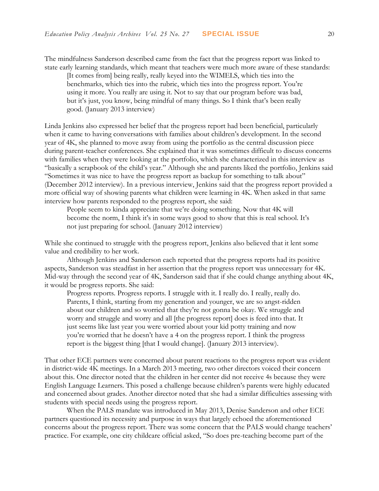The mindfulness Sanderson described came from the fact that the progress report was linked to state early learning standards, which meant that teachers were much more aware of these standards:

[It comes from] being really, really keyed into the WIMELS, which ties into the benchmarks, which ties into the rubric, which ties into the progress report. You're using it more. You really are using it. Not to say that our program before was bad, but it's just, you know, being mindful of many things. So I think that's been really good. (January 2013 interview)

Linda Jenkins also expressed her belief that the progress report had been beneficial, particularly when it came to having conversations with families about children's development. In the second year of 4K, she planned to move away from using the portfolio as the central discussion piece during parent-teacher conferences. She explained that it was sometimes difficult to discuss concerns with families when they were looking at the portfolio, which she characterized in this interview as "basically a scrapbook of the child's year." Although she and parents liked the portfolio, Jenkins said "Sometimes it was nice to have the progress report as backup for something to talk about" (December 2012 interview). In a previous interview, Jenkins said that the progress report provided a more official way of showing parents what children were learning in 4K. When asked in that same interview how parents responded to the progress report, she said:

People seem to kinda appreciate that we're doing something. Now that 4K will become the norm, I think it's in some ways good to show that this is real school. It's not just preparing for school. (January 2012 interview)

While she continued to struggle with the progress report, Jenkins also believed that it lent some value and credibility to her work.

Although Jenkins and Sanderson each reported that the progress reports had its positive aspects, Sanderson was steadfast in her assertion that the progress report was unnecessary for 4K. Mid-way through the second year of 4K, Sanderson said that if she could change anything about 4K, it would be progress reports. She said:

Progress reports. Progress reports. I struggle with it. I really do. I really, really do. Parents, I think, starting from my generation and younger, we are so angst-ridden about our children and so worried that they're not gonna be okay. We struggle and worry and struggle and worry and all [the progress report] does is feed into that. It just seems like last year you were worried about your kid potty training and now you're worried that he doesn't have a 4 on the progress report. I think the progress report is the biggest thing [that I would change]. (January 2013 interview).

That other ECE partners were concerned about parent reactions to the progress report was evident in district-wide 4K meetings. In a March 2013 meeting, two other directors voiced their concern about this. One director noted that the children in her center did not receive 4s because they were English Language Learners. This posed a challenge because children's parents were highly educated and concerned about grades. Another director noted that she had a similar difficulties assessing with students with special needs using the progress report.

When the PALS mandate was introduced in May 2013, Denise Sanderson and other ECE partners questioned its necessity and purpose in ways that largely echoed the aforementioned concerns about the progress report. There was some concern that the PALS would change teachers' practice. For example, one city childcare official asked, "So does pre-teaching become part of the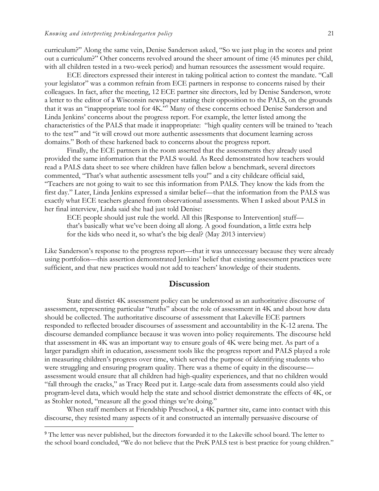$\overline{a}$ 

curriculum?" Along the same vein, Denise Sanderson asked, "So we just plug in the scores and print out a curriculum?" Other concerns revolved around the sheer amount of time (45 minutes per child, with all children tested in a two-week period) and human resources the assessment would require.

ECE directors expressed their interest in taking political action to contest the mandate. "Call your legislator" was a common refrain from ECE partners in response to concerns raised by their colleagues. In fact, after the meeting, 12 ECE partner site directors, led by Denise Sanderson, wrote a letter to the editor of a Wisconsin newspaper stating their opposition to the PALS, on the grounds that it was an "inappropriate tool for 4K."<sup>9</sup> Many of these concerns echoed Denise Sanderson and Linda Jenkins' concerns about the progress report. For example, the letter listed among the characteristics of the PALS that made it inappropriate: "high quality centers will be trained to 'teach to the test'" and "it will crowd out more authentic assessments that document learning across domains." Both of these harkened back to concerns about the progress report.

Finally, the ECE partners in the room asserted that the assessments they already used provided the same information that the PALS would. As Reed demonstrated how teachers would read a PALS data sheet to see where children have fallen below a benchmark, several directors commented, "That's what authentic assessment tells you!" and a city childcare official said, "Teachers are not going to wait to see this information from PALS. They know the kids from the first day." Later, Linda Jenkins expressed a similar belief—that the information from the PALS was exactly what ECE teachers gleaned from observational assessments. When I asked about PALS in her final interview, Linda said she had just told Denise:

ECE people should just rule the world. All this [Response to Intervention] stuff that's basically what we've been doing all along. A good foundation, a little extra help for the kids who need it, so what's the big deal? (May 2013 interview)

Like Sanderson's response to the progress report—that it was unnecessary because they were already using portfolios—this assertion demonstrated Jenkins' belief that existing assessment practices were sufficient, and that new practices would not add to teachers' knowledge of their students.

## **Discussion**

State and district 4K assessment policy can be understood as an authoritative discourse of assessment, representing particular "truths" about the role of assessment in 4K and about how data should be collected. The authoritative discourse of assessment that Lakeville ECE partners responded to reflected broader discourses of assessment and accountability in the K-12 arena. The discourse demanded compliance because it was woven into policy requirements. The discourse held that assessment in 4K was an important way to ensure goals of 4K were being met. As part of a larger paradigm shift in education, assessment tools like the progress report and PALS played a role in measuring children's progress over time, which served the purpose of identifying students who were struggling and ensuring program quality. There was a theme of equity in the discourse assessment would ensure that all children had high-quality experiences, and that no children would "fall through the cracks," as Tracy Reed put it. Large-scale data from assessments could also yield program-level data, which would help the state and school district demonstrate the effects of 4K, or as Stohler noted, "measure all the good things we're doing."

When staff members at Friendship Preschool, a 4K partner site, came into contact with this discourse, they resisted many aspects of it and constructed an internally persuasive discourse of

<sup>&</sup>lt;sup>9</sup> The letter was never published, but the directors forwarded it to the Lakeville school board. The letter to the school board concluded, "We do not believe that the PreK PALS test is best practice for young children."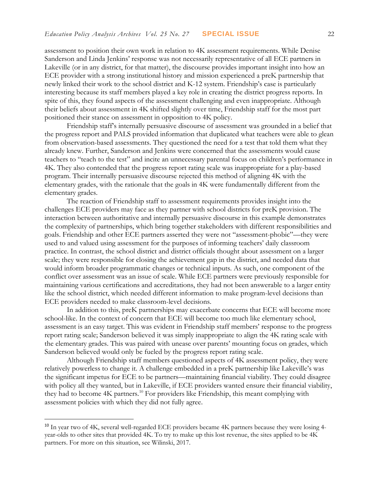assessment to position their own work in relation to 4K assessment requirements. While Denise Sanderson and Linda Jenkins' response was not necessarily representative of all ECE partners in Lakeville (or in any district, for that matter), the discourse provides important insight into how an ECE provider with a strong institutional history and mission experienced a preK partnership that newly linked their work to the school district and K-12 system. Friendship's case is particularly interesting because its staff members played a key role in creating the district progress reports. In spite of this, they found aspects of the assessment challenging and even inappropriate. Although their beliefs about assessment in 4K shifted slightly over time, Friendship staff for the most part positioned their stance on assessment in opposition to 4K policy.

Friendship staff's internally persuasive discourse of assessment was grounded in a belief that the progress report and PALS provided information that duplicated what teachers were able to glean from observation-based assessments. They questioned the need for a test that told them what they already knew. Further, Sanderson and Jenkins were concerned that the assessments would cause teachers to "teach to the test" and incite an unnecessary parental focus on children's performance in 4K. They also contended that the progress report rating scale was inappropriate for a play-based program. Their internally persuasive discourse rejected this method of aligning 4K with the elementary grades, with the rationale that the goals in 4K were fundamentally different from the elementary grades.

The reaction of Friendship staff to assessment requirements provides insight into the challenges ECE providers may face as they partner with school districts for preK provision. The interaction between authoritative and internally persuasive discourse in this example demonstrates the complexity of partnerships, which bring together stakeholders with different responsibilities and goals. Friendship and other ECE partners asserted they were not "assessment-phobic"—they were used to and valued using assessment for the purposes of informing teachers' daily classroom practice. In contrast, the school district and district officials thought about assessment on a larger scale; they were responsible for closing the achievement gap in the district, and needed data that would inform broader programmatic changes or technical inputs. As such, one component of the conflict over assessment was an issue of scale. While ECE partners were previously responsible for maintaining various certifications and accreditations, they had not been answerable to a larger entity like the school district, which needed different information to make program-level decisions than ECE providers needed to make classroom-level decisions.

In addition to this, preK partnerships may exacerbate concerns that ECE will become more school-like. In the context of concern that ECE will become too much like elementary school, assessment is an easy target. This was evident in Friendship staff members' response to the progress report rating scale; Sanderson believed it was simply inappropriate to align the 4K rating scale with the elementary grades. This was paired with unease over parents' mounting focus on grades, which Sanderson believed would only be fueled by the progress report rating scale.

Although Friendship staff members questioned aspects of 4K assessment policy, they were relatively powerless to change it. A challenge embedded in a preK partnership like Lakeville's was the significant impetus for ECE to be partners—maintaining financial viability. They could disagree with policy all they wanted, but in Lakeville, if ECE providers wanted ensure their financial viability, they had to become 4K partners.<sup>10</sup> For providers like Friendship, this meant complying with assessment policies with which they did not fully agree.

 $\overline{a}$ 

<sup>&</sup>lt;sup>10</sup> In year two of 4K, several well-regarded ECE providers became 4K partners because they were losing 4year-olds to other sites that provided 4K. To try to make up this lost revenue, the sites applied to be 4K partners. For more on this situation, see Wilinski, 2017.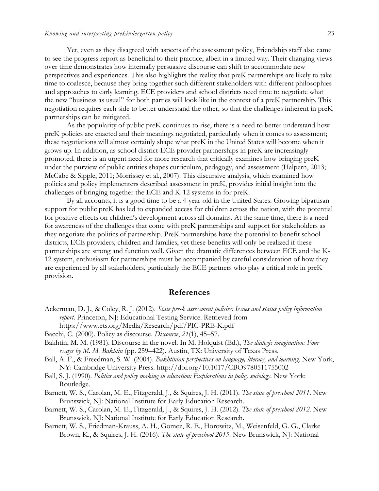Yet, even as they disagreed with aspects of the assessment policy, Friendship staff also came to see the progress report as beneficial to their practice, albeit in a limited way. Their changing views over time demonstrates how internally persuasive discourse can shift to accommodate new perspectives and experiences. This also highlights the reality that preK partnerships are likely to take time to coalesce, because they bring together such different stakeholders with different philosophies and approaches to early learning. ECE providers and school districts need time to negotiate what the new "business as usual" for both parties will look like in the context of a preK partnership. This negotiation requires each side to better understand the other, so that the challenges inherent in preK partnerships can be mitigated.

As the popularity of public preK continues to rise, there is a need to better understand how preK policies are enacted and their meanings negotiated, particularly when it comes to assessment; these negotiations will almost certainly shape what preK in the United States will become when it grows up. In addition, as school district-ECE provider partnerships in preK are increasingly promoted, there is an urgent need for more research that critically examines how bringing preK under the purview of public entities shapes curriculum, pedagogy, and assessment (Halpern, 2013; McCabe & Sipple, 2011; Morrissey et al., 2007). This discursive analysis, which examined how policies and policy implementers described assessment in preK, provides initial insight into the challenges of bringing together the ECE and K-12 systems in for preK.

By all accounts, it is a good time to be a 4-year-old in the United States. Growing bipartisan support for public preK has led to expanded access for children across the nation, with the potential for positive effects on children's development across all domains. At the same time, there is a need for awareness of the challenges that come with preK partnerships and support for stakeholders as they negotiate the politics of partnership. PreK partnerships have the potential to benefit school districts, ECE providers, children and families, yet these benefits will only be realized if these partnerships are strong and function well. Given the dramatic differences between ECE and the K-12 system, enthusiasm for partnerships must be accompanied by careful consideration of how they are experienced by all stakeholders, particularly the ECE partners who play a critical role in preK provision.

## **References**

- Ackerman, D. J., & Coley, R. J. (2012). *State pre-k assessment policies: Issues and status policy information report*. Princeton, NJ: Educational Testing Service. Retrieved from https://www.ets.org/Media/Research/pdf/PIC-PRE-K.pdf
- Bacchi, C. (2000). Policy as discourse. *Discourse*, *21*(1), 45–57.
- Bakhtin, M. M. (1981). Discourse in the novel. In M. Holquist (Ed.), *The dialogic imagination: Four essays by M. M. Bakhtin* (pp. 259–422). Austin, TX: University of Texas Press.
- Ball, A. F., & Freedman, S. W. (2004). *Bakhtinian perspectives on language, literacy, and learning*. New York, NY: Cambridge University Press. http://doi.org/10.1017/CBO9780511755002
- Ball, S. J. (1990). *Politics and policy making in education: Explorations in policy sociology*. New York: Routledge.
- Barnett, W. S., Carolan, M. E., Fitzgerald, J., & Squires, J. H. (2011). *The state of preschool 2011*. New Brunswick, NJ: National Institute for Early Education Research.
- Barnett, W. S., Carolan, M. E., Fitzgerald, J., & Squires, J. H. (2012). *The state of preschool 2012*. New Brunswick, NJ: National Institute for Early Education Research.
- Barnett, W. S., Friedman-Krauss, A. H., Gomez, R. E., Horowitz, M., Weisenfeld, G. G., Clarke Brown, K., & Squires, J. H. (2016). *The state of preschool 2015*. New Brunswick, NJ: National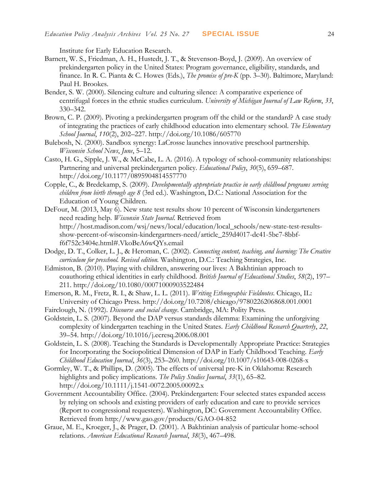Institute for Early Education Research.

- Barnett, W. S., Friedman, A. H., Hustedt, J. T., & Stevenson-Boyd, J. (2009). An overview of prekindergarten policy in the United States: Program governance, eligibility, standards, and finance. In R. C. Pianta & C. Howes (Eds.), *The promise of pre-K* (pp. 3–30). Baltimore, Maryland: Paul H. Brookes.
- Bender, S. W. (2000). Silencing culture and culturing silence: A comparative experience of centrifugal forces in the ethnic studies curriculum. *University of Michigan Journal of Law Reform*, *33*, 330–342.
- Brown, C. P. (2009). Pivoting a prekindergarten program off the child or the standard? A case study of integrating the practices of early childhood education into elementary school. *The Elementary School Journal*, *110*(2), 202–227. http://doi.org/10.1086/605770
- Bulebosh, N. (2000). Sandbox synergy: LaCrosse launches innovative preschool partnership. *Wisconsin School News*, *June*, 5–12.
- Casto, H. G., Sipple, J. W., & McCabe, L. A. (2016). A typology of school-community relationships: Partnering and universal prekindergarten policy. *Educational Policy*, *30*(5), 659–687. http://doi.org/10.1177/0895904814557770
- Copple, C., & Bredekamp, S. (2009). *Developmentally appropriate practice in early childhood programs serving children from birth through age 8* (3rd ed.). Washington, D.C.: National Association for the Education of Young Children.
- DeFour, M. (2013, May 6). New state test results show 10 percent of Wisconsin kindergarteners need reading help. *Wisconsin State Journal*. Retrieved from http://host.madison.com/wsj/news/local/education/local\_schools/new-state-test-resultsshow-percent-of-wisconsin-kindergartners-need/article\_259d4017-dc41-5be7-8bbff6f752c3404e.html#.VkoBeA6wQYs.email
- Dodge, D. T., Colker, L. J., & Heroman, C. (2002). *Connecting content, teaching, and learning: The Creative curriculum for preschool. Revised edition.* Washington, D.C.: Teaching Strategies, Inc.
- Edmiston, B. (2010). Playing with children, answering our lives: A Bakhtinian approach to coauthoring ethical identities in early childhood. *British Journal of Educational Studies*, *58*(2), 197– 211. http://doi.org/10.1080/00071000903522484
- Emerson, R. M., Fretz, R. I., & Shaw, L. L. (2011). *Writing Ethnographic Fieldnotes*. Chicago, IL: University of Chicago Press. http://doi.org/10.7208/chicago/9780226206868.001.0001
- Fairclough, N. (1992). *Discourse and social change*. Cambridge, MA: Polity Press.
- Goldstein, L. S. (2007). Beyond the DAP versus standards dilemma: Examining the unforgiving complexity of kindergarten teaching in the United States. *Early Childhood Research Quarterly*, *22*, 39–54. http://doi.org/10.1016/j.ecresq.2006.08.001
- Goldstein, L. S. (2008). Teaching the Standards is Developmentally Appropriate Practice: Strategies for Incorporating the Sociopolitical Dimension of DAP in Early Childhood Teaching. *Early Childhood Education Journal*, *36*(3), 253–260. http://doi.org/10.1007/s10643-008-0268-x
- Gormley, W. T., & Phillips, D. (2005). The effects of universal pre-K in Oklahoma: Research highlights and policy implications. *The Policy Studies Journal*, *33*(1), 65–82. http://doi.org/10.1111/j.1541-0072.2005.00092.x
- Government Accountability Office. (2004). Prekindergarten: Four selected states expanded access by relying on schools and existing providers of early education and care to provide services (Report to congressional requesters). Washington, DC: Government Accountability Office. Retrieved from http://www.gao.gov/products/GAO-04-852
- Graue, M. E., Kroeger, J., & Prager, D. (2001). A Bakhtinian analysis of particular home-school relations. *American Educational Research Journal*, *38*(3), 467–498.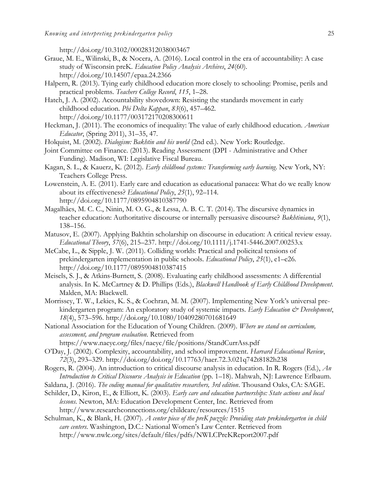http://doi.org/10.3102/00028312038003467

- Graue, M. E., Wilinski, B., & Nocera, A. (2016). Local control in the era of accountability: A case study of Wisconsin preK. *Education Policy Analysis Archives*, *24*(60). http://doi.org/10.14507/epaa.24.2366
- Halpern, R. (2013). Tying early childhood education more closely to schooling: Promise, perils and practical problems. *Teachers College Record*, *115*, 1–28.
- Hatch, J. A. (2002). Accountability shovedown: Resisting the standards movement in early childhood education. *Phi Delta Kappan*, *83*(6), 457–462. http://doi.org/10.1177/003172170208300611
- Heckman, J. (2011). The economics of inequality: The value of early childhood education. *American Educator*, (Spring 2011), 31–35, 47.
- Holquist, M. (2002). *Dialogism: Bakhtin and his world* (2nd ed.). New York: Routledge.
- Joint Committee on Finance. (2013). Reading Assessment (DPI Administrative and Other Funding). Madison, WI: Legislative Fiscal Bureau.
- Kagan, S. L., & Kauerz, K. (2012). *Early childhood systems: Transforming early learning*. New York, NY: Teachers College Press.
- Lowenstein, A. E. (2011). Early care and education as educational panacea: What do we really know about its effectiveness? *Educational Policy*, *25*(1), 92–114. http://doi.org/10.1177/0895904810387790
- Magalhães, M. C. C., Ninin, M. O. G., & Lessa, A. B. C. T. (2014). The discursive dynamics in teacher education: Authoritative discourse or internally persuasive discourse? *Bakhtiniana*, *9*(1), 138–156.
- Matusov, E. (2007). Applying Bakhtin scholarship on discourse in education: A critical review essay. *Educational Theory*, *57*(6), 215–237. http://doi.org/10.1111/j.1741-5446.2007.00253.x
- McCabe, L., & Sipple, J. W. (2011). Colliding worlds: Practical and policitcal tensions of prekindergarten implementation in public schools. *Educational Policy*, *25*(1), e1–e26. http://doi.org/10.1177/0895904810387415
- Meisels, S. J., & Atkins-Burnett, S. (2008). Evaluating early childhood assessments: A differential analysis. In K. McCartney & D. Phillips (Eds.), *Blackwell Handbook of Early Childhood Development*. Malden, MA: Blackwell.
- Morrissey, T. W., Lekies, K. S., & Cochran, M. M. (2007). Implementing New York's universal prekindergarten program: An exploratory study of systemic impacts. *Early Education & Development*, *18*(4), 573–596. http://doi.org/10.1080/10409280701681649
- National Association for the Education of Young Children. (2009). *Where we stand on curriculum, assessment, and program evaluation*. Retrieved from

https://www.naeyc.org/files/naeyc/file/positions/StandCurrAss.pdf

- O'Day, J. (2002). Complexity, accountability, and school improvement. *Harvard Educational Review*, *72*(3), 293–329. http://doi.org/doi.org/10.17763/haer.72.3.021q742t8182h238
- Rogers, R. (2004). An introduction to critical discourse analysis in education. In R. Rogers (Ed.), *An Introduction to Critical Discourse Analysis in Education* (pp. 1–18). Mahwah, NJ: Lawrence Erlbaum.
- Saldana, J. (2016). *The coding manual for qualitative researchers, 3rd edition*. Thousand Oaks, CA: SAGE.
- Schilder, D., Kiron, E., & Elliott, K. (2003). *Early care and education partnerships: State actions and local lessons*. Newton, MA: Education Development Center, Inc. Retrieved from http://www.researchconnections.org/childcare/resources/1515
- Schulman, K., & Blank, H. (2007). *A center piece of the preK puzzle: Providing state prekindergarten in child care centers*. Washington, D.C.: National Women's Law Center. Retrieved from http://www.nwlc.org/sites/default/files/pdfs/NWLCPreKReport2007.pdf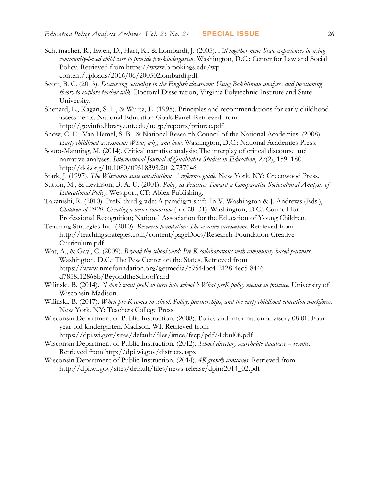- Schumacher, R., Ewen, D., Hart, K., & Lombardi, J. (2005). *All together now: State experiences in using community-based child care to provide pre-kindergarten*. Washington, D.C.: Center for Law and Social Policy. Retrieved from https://www.brookings.edu/wpcontent/uploads/2016/06/200502lombardi.pdf
- Scott, B. C. (2013). *Discussing sexuality in the English classroom: Using Bakhtinian analyses and positioning theory to explore teacher talk*. Doctoral Dissertation, Virginia Polytechnic Institute and State University.
- Shepard, L., Kagan, S. L., & Wurtz, E. (1998). Principles and recommendations for early childhood assessments. National Education Goals Panel. Retrieved from http://govinfo.library.unt.edu/negp/reports/prinrec.pdf
- Snow, C. E., Van Hemel, S. B., & National Research Council of the National Academies. (2008). *Early childhood assessment: What, why, and how*. Washington, D.C.: National Academies Press.
- Souto-Manning, M. (2014). Critical narrative analysis: The interplay of critical discourse and narrative analyses. *International Journal of Qualitative Studies in Education*, *27*(2), 159–180. http://doi.org/10.1080/09518398.2012.737046
- Stark, J. (1997). *The Wisconsin state constitution: A reference guide.* New York, NY: Greenwood Press.
- Sutton, M., & Levinson, B. A. U. (2001). *Policy as Practice: Toward a Comparative Sociocultural Analysis of Educational Policy*. Westport, CT: Ablex Publishing.
- Takanishi, R. (2010). PreK-third grade: A paradigm shift. In V. Washington & J. Andrews (Eds.), *Children of 2020: Creating a better tomorrow* (pp. 28–31). Washington, D.C.: Council for Professional Recognition; National Association for the Education of Young Children.
- Teaching Strategies Inc. (2010). *Research foundation: The creative curriculum*. Retrieved from http://teachingstrategies.com/content/pageDocs/Research-Foundation-Creative-Curriculum.pdf
- Wat, A., & Gayl, C. (2009). *Beyond the school yard: Pre-K collaborations with community-based partners*. Washington, D.C.: The Pew Center on the States. Retrieved from https://www.nmefoundation.org/getmedia/c9544bc4-2128-4ec5-8446 d7858f12868b/BeyondtheSchoolYard
- Wilinski, B. (2014). *"I don't want preK to turn into school": What preK policy means in practice*. University of Wisconsin-Madison.
- Wilinski, B. (2017). *When pre-K comes to school: Policy, partnerships, and the early childhood education workforce*. New York, NY: Teachers College Press.
- Wisconsin Department of Public Instruction. (2008). Policy and information advisory 08.01: Fouryear-old kindergarten. Madison, WI. Retrieved from

https://dpi.wi.gov/sites/default/files/imce/fscp/pdf/4kbul08.pdf

- Wisconsin Department of Public Instruction. (2012). *School directory searchable database – results*. Retrieved from http://dpi.wi.gov/districts.aspx
- Wisconsin Department of Public Instruction. (2014). *4K growth continues*. Retrieved from http://dpi.wi.gov/sites/default/files/news-release/dpinr2014\_02.pdf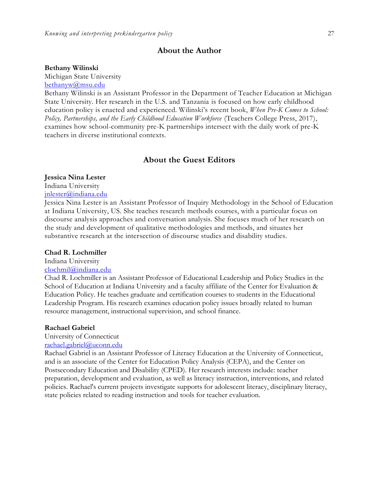## **About the Author**

#### **Bethany Wilinski**

Michigan State University

[bethanyw@msu.edu](mailto:bethanyw@msu.edu)

Bethany Wilinski is an Assistant Professor in the Department of Teacher Education at Michigan State University. Her research in the U.S. and Tanzania is focused on how early childhood education policy is enacted and experienced. Wilinski's recent book, *When Pre-K Comes to School: Policy, Partnerships, and the Early Childhood Education Workforce* (Teachers College Press, 2017), examines how school-community pre-K partnerships intersect with the daily work of pre-K teachers in diverse institutional contexts.

## **About the Guest Editors**

## **Jessica Nina Lester**

Indiana University

[jnlester@indiana.edu](mailto:clochmil@indiana.edu)

Jessica Nina Lester is an Assistant Professor of Inquiry Methodology in the School of Education at Indiana University, US. She teaches research methods courses, with a particular focus on discourse analysis approaches and conversation analysis. She focuses much of her research on the study and development of qualitative methodologies and methods, and situates her substantive research at the intersection of discourse studies and disability studies.

#### **Chad R. Lochmiller**

Indiana University

## [clochmil@indiana.edu](mailto:clochmil@indiana.edu)

Chad R. Lochmiller is an Assistant Professor of Educational Leadership and Policy Studies in the School of Education at Indiana University and a faculty affiliate of the Center for Evaluation & Education Policy. He teaches graduate and certification courses to students in the Educational Leadership Program. His research examines education policy issues broadly related to human resource management, instructional supervision, and school finance.

#### **Rachael Gabriel**

University of Connecticut [rachael.gabriel@uconn.edu](mailto:rachael.gabriel@uconn.edu)

Rachael Gabriel is an Assistant Professor of Literacy Education at the University of Connecticut, and is an associate of the Center for Education Policy Analysis (CEPA), and the Center on Postsecondary Education and Disability (CPED). Her research interests include: teacher preparation, development and evaluation, as well as literacy instruction, interventions, and related policies. Rachael's current projects investigate supports for adolescent literacy, disciplinary literacy, state policies related to reading instruction and tools for teacher evaluation.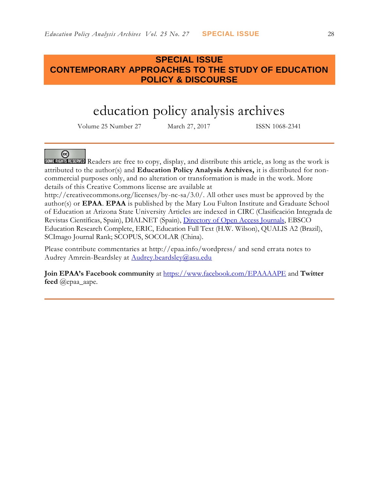## **SPECIAL ISSUE CONTEMPORARY APPROACHES TO THE STUDY OF EDUCATION POLICY & DISCOURSE**

# education policy analysis archives

Volume 25 Number 27 March 27, 2017 ISSN 1068-2341

## @

SOME RIGHTS RESERVED Readers are free to copy, display, and distribute this article, as long as the work is attributed to the author(s) and **Education Policy Analysis Archives,** it is distributed for noncommercial purposes only, and no alteration or transformation is made in the work. More details of this Creative Commons license are available at

http://creativecommons.org/licenses/by-nc-sa/3.0/. All other uses must be approved by the author(s) or **EPAA**. **EPAA** is published by the Mary Lou Fulton Institute and Graduate School of Education at Arizona State University Articles are indexed in CIRC (Clasificación Integrada de Revistas Científicas, Spain), DIALNET (Spain), [Directory of Open Access Journals,](http://www.doaj.org/) EBSCO Education Research Complete, ERIC, Education Full Text (H.W. Wilson), QUALIS A2 (Brazil), SCImago Journal Rank; SCOPUS, SOCOLAR (China).

Please contribute commentaries at http://epaa.info/wordpress/ and send errata notes to Audrey Amrein-Beardsley at [Audrey.beardsley@asu.edu](mailto:Audrey.beardsley@asu.edu)

**Join EPAA's Facebook community** at<https://www.facebook.com/EPAAAAPE> and **Twitter feed** @epaa\_aape.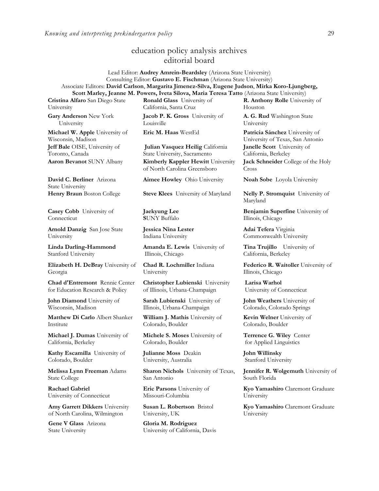## education policy analysis archives editorial board

#### Lead Editor: **Audrey Amrein-Beardsley** (Arizona State University) Consulting Editor: **Gustavo E. Fischman** (Arizona State University) Associate Editors: **David Carlson**, **Margarita Jimenez-Silva, Eugene Judson**, **Mirka Koro-Ljungberg, Scott Marley, Jeanne M. Powers, Iveta Silova, Maria Teresa Tatto** (Arizona State University)

**Cristina Alfaro** San Diego State University

**Gary Anderson** New York University

**Michael W. Apple** University of Wisconsin, Madison **Jeff Bale** OISE, University of Toronto, Canada

**David C. Berliner** Arizona State University<br>Henry Braun Boston College

**Casey Cobb** University of **Connecticut** 

**Arnold Danzig** San Jose State University

**Linda Darling-Hammond**  Stanford University

**Elizabeth H. DeBray** University of Georgia

**Chad d'Entremont** Rennie Center for Education Research & Policy

**John Diamond** University of Wisconsin, Madison

**Matthew Di Carlo** Albert Shanker Institute

**Michael J. Dumas** University of California, Berkeley

**Kathy Escamilla** University of Colorado, Boulder

**Melissa Lynn Freeman** Adams State College

**Rachael Gabriel** University of Connecticut

**Amy Garrett Dikkers** University of North Carolina, Wilmington

**Gene V Glass** Arizona State University

**Ronald Glass** University of California, Santa Cruz

**Jacob P. K. Gross** University of Louisville

**Julian Vasquez Heilig** California State University, Sacramento **Aaron Bevanot** SUNY Albany **Kimberly Kappler Hewitt** University of North Carolina Greensboro

**Aimee Howley** Ohio University **Noah Sobe** Loyola University

**Steve Klees** University of Maryland **Nelly P. Stromquist** University of

**Jaekyung Lee S**UNY Buffalo

**Jessica Nina Lester** Indiana University

**Amanda E. Lewis** University of Illinois, Chicago

**Chad R. Lochmiller** Indiana University

**Christopher Lubienski** University of Illinois, Urbana-Champaign

**Sarah Lubienski** University of Illinois, Urbana-Champaign

**William J. Mathis** University of Colorado, Boulder

**Michele S. Moses** University of Colorado, Boulder

**Julianne Moss** Deakin University, Australia

**Sharon Nichols** University of Texas, San Antonio

**Eric Parsons** University of Missouri-Columbia

**Susan L. Robertson** Bristol University, UK

**Gloria M. Rodriguez** University of California, Davis **R. Anthony Rolle** University of Houston

**A. G. Rud** Washington State University

**Eric M. Haas** WestEd **Patricia Sánchez** University of University of Texas, San Antonio **Janelle Scott** University of California, Berkeley

**Jack Schneider** College of the Holy Cross

Maryland

**Benjamin Superfine** University of Illinois, Chicago

**Adai Tefera** Virginia Commonwealth University

**Tina Trujillo** University of California, Berkeley

**Federico R. Waitoller** University of Illinois, Chicago

**Larisa Warhol** University of Connecticut

**John Weathers** University of Colorado, Colorado Springs

**Kevin Welner** University of Colorado, Boulder

**Terrence G. Wiley** Center for Applied Linguistics

**John Willinsky**  Stanford University

**Jennifer R. Wolgemuth** University of South Florida

**Kyo Yamashiro** Claremont Graduate University

**Kyo Yamashiro** Claremont Graduate University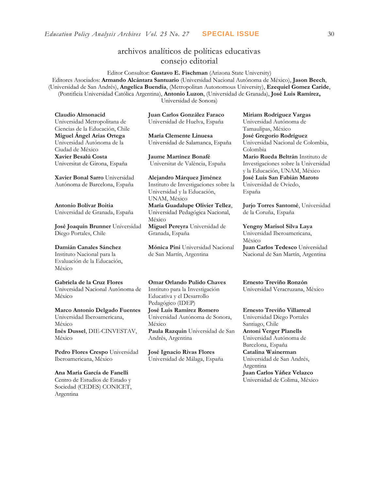## archivos analíticos de políticas educativas consejo editorial

Editor Consultor: **Gustavo E. Fischman** (Arizona State University) Editores Asociados: **Armando Alcántara Santuario** (Universidad Nacional Autónoma de México), **Jason Beech**, (Universidad de San Andrés), **Angelica Buendia**, (Metropolitan Autonomous University), **Ezequiel Gomez Caride**, (Pontificia Universidad Católica Argentina), **Antonio Luzon**, (Universidad de Granada), **José Luis Ramírez,** Universidad de Sonora)

**Claudio Almonacid** Universidad Metropolitana de Ciencias de la Educación, Chile **Miguel Ángel Arias Ortega**  Universidad Autónoma de la Ciudad de México **Xavier Besalú Costa**  Universitat de Girona, España

**[Xavier Bonal](javascript:openRTWindow() Sarro** Universidad Autónoma de Barcelona, España

**[Antonio Bolívar](javascript:openRTWindow() Boitia** Universidad de Granada, España

**[José Joaquín Brunner](javascript:openRTWindow()** Universidad Diego Portales, Chile

#### **[Damián Canales Sánchez](javascript:openRTWindow()** Instituto Nacional para la Evaluación de la Educación,

México

**Gabriela de la Cruz Flores** Universidad Nacional Autónoma de

México

#### **[Marco Antonio Delgado Fuentes](javascript:openRTWindow()** Universidad Iberoamericana, México **[Inés Dussel](javascript:openRTWindow()**, DIE-CINVESTAV, México

**[Pedro Flores Crespo](javascript:openRTWindow()** Universidad Iberoamericana, México

#### **Ana María García de Fanelli**  Centro de Estudios de Estado y Sociedad (CEDES) CONICET, Argentina

**Juan Carlos González Faraco**  Universidad de Huelva, España

**María Clemente Linuesa**  Universidad de Salamanca, España

**Jaume Martínez Bonafé** Universitat de València, España

**Alejandro Márquez Jiménez**  Instituto de Investigaciones sobre la Universidad y la Educación, UNAM, México **María Guadalupe Olivier Tellez**, Universidad Pedagógica Nacional, México **[Miguel Pereyra](javascript:openRTWindow()** Universidad de Granada, España

**[Mónica Pini](javascript:openRTWindow()** Universidad Nacional de San Martín, Argentina

**Omar Orlando Pulido Chaves** Instituto para la Investigación Educativa y el Desarrollo Pedagógico (IDEP)

**[José Luis Ramírez](javascript:openRTWindow() Romero** Universidad Autónoma de Sonora, México

**[Paula Razquin](javascript:openRTWindow()** Universidad de San Andrés, Argentina

**José Ignacio Rivas Flores** Universidad de Málaga, España **[Miriam Rodríguez Vargas](javascript:openRTWindow()** Universidad Autónoma de Tamaulipas, México **José Gregorio Rodríguez**  Universidad Nacional de Colombia, Colombia **[Mario Rueda Beltrán](javascript:openRTWindow()** Instituto de Investigaciones sobre la Universidad

y la Educación, UNAM, México **José Luis San Fabián Maroto**  Universidad de Oviedo, España

**[Jurjo Torres Santomé](javascript:openRTWindow()**, Universidad de la Coruña, España

**[Yengny Marisol Silva Laya](javascript:openRTWindow()** Universidad Iberoamericana, México **Juan Carlos Tedesco** Universidad Nacional de San Martín, Argentina

**Ernesto Treviño Ronzón** Universidad Veracruzana, México

**[Ernesto Treviño](javascript:openRTWindow() Villarreal** Universidad Diego Portales Santiago, Chile **[Antoni Verger Planells](javascript:openRTWindow()** Universidad Autónoma de Barcelona, España **[Catalina Wainerman](javascript:openRTWindow()** Universidad de San Andrés, Argentina **Juan Carlos Yáñez Velazco** Universidad de Colima, México